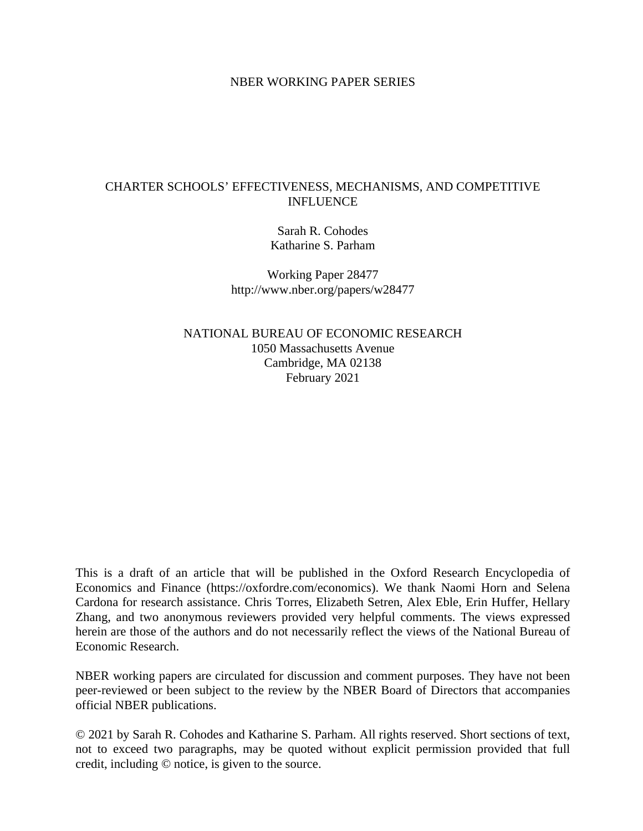### NBER WORKING PAPER SERIES

# CHARTER SCHOOLS' EFFECTIVENESS, MECHANISMS, AND COMPETITIVE INFLUENCE

Sarah R. Cohodes Katharine S. Parham

Working Paper 28477 http://www.nber.org/papers/w28477

NATIONAL BUREAU OF ECONOMIC RESEARCH 1050 Massachusetts Avenue Cambridge, MA 02138 February 2021

This is a draft of an article that will be published in the Oxford Research Encyclopedia of Economics and Finance (https://oxfordre.com/economics). We thank Naomi Horn and Selena Cardona for research assistance. Chris Torres, Elizabeth Setren, Alex Eble, Erin Huffer, Hellary Zhang, and two anonymous reviewers provided very helpful comments. The views expressed herein are those of the authors and do not necessarily reflect the views of the National Bureau of Economic Research.

NBER working papers are circulated for discussion and comment purposes. They have not been peer-reviewed or been subject to the review by the NBER Board of Directors that accompanies official NBER publications.

© 2021 by Sarah R. Cohodes and Katharine S. Parham. All rights reserved. Short sections of text, not to exceed two paragraphs, may be quoted without explicit permission provided that full credit, including © notice, is given to the source.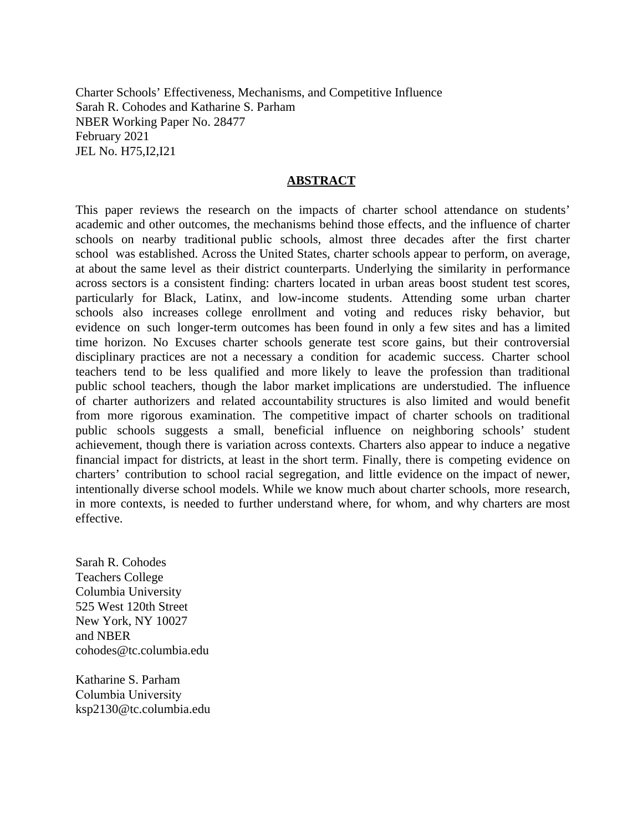Charter Schools' Effectiveness, Mechanisms, and Competitive Influence Sarah R. Cohodes and Katharine S. Parham NBER Working Paper No. 28477 February 2021 JEL No. H75,I2,I21

#### **ABSTRACT**

This paper reviews the research on the impacts of charter school attendance on students' academic and other outcomes, the mechanisms behind those effects, and the influence of charter schools on nearby traditional public schools, almost three decades after the first charter school was established. Across the United States, charter schools appear to perform, on average, at about the same level as their district counterparts. Underlying the similarity in performance across sectors is a consistent finding: charters located in urban areas boost student test scores, particularly for Black, Latinx, and low-income students. Attending some urban charter schools also increases college enrollment and voting and reduces risky behavior, but evidence on such longer-term outcomes has been found in only a few sites and has a limited time horizon. No Excuses charter schools generate test score gains, but their controversial disciplinary practices are not a necessary a condition for academic success. Charter school teachers tend to be less qualified and more likely to leave the profession than traditional public school teachers, though the labor market implications are understudied. The influence of charter authorizers and related accountability structures is also limited and would benefit from more rigorous examination. The competitive impact of charter schools on traditional public schools suggests a small, beneficial influence on neighboring schools' student achievement, though there is variation across contexts. Charters also appear to induce a negative financial impact for districts, at least in the short term. Finally, there is competing evidence on charters' contribution to school racial segregation, and little evidence on the impact of newer, intentionally diverse school models. While we know much about charter schools, more research, in more contexts, is needed to further understand where, for whom, and why charters are most effective.

Sarah R. Cohodes Teachers College Columbia University 525 West 120th Street New York, NY 10027 and NBER cohodes@tc.columbia.edu

Katharine S. Parham Columbia University ksp2130@tc.columbia.edu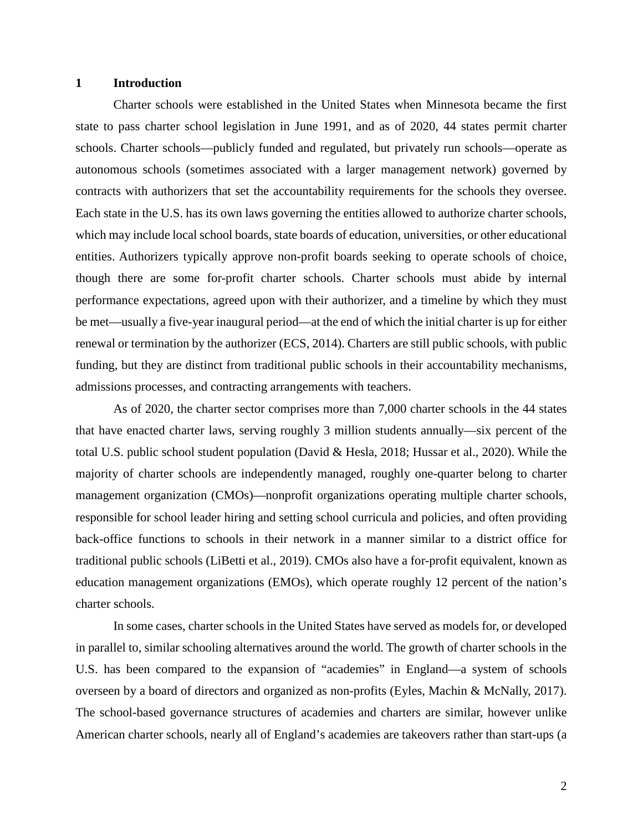#### **1 Introduction**

Charter schools were established in the United States when Minnesota became the first state to pass charter school legislation in June 1991, and as of 2020, 44 states permit charter schools. Charter schools—publicly funded and regulated, but privately run schools—operate as autonomous schools (sometimes associated with a larger management network) governed by contracts with authorizers that set the accountability requirements for the schools they oversee. Each state in the U.S. has its own laws governing the entities allowed to authorize charter schools, which may include local school boards, state boards of education, universities, or other educational entities. Authorizers typically approve non-profit boards seeking to operate schools of choice, though there are some for-profit charter schools. Charter schools must abide by internal performance expectations, agreed upon with their authorizer, and a timeline by which they must be met—usually a five-year inaugural period—at the end of which the initial charter is up for either renewal or termination by the authorizer (ECS, 2014). Charters are still public schools, with public funding, but they are distinct from traditional public schools in their accountability mechanisms, admissions processes, and contracting arrangements with teachers.

As of 2020, the charter sector comprises more than 7,000 charter schools in the 44 states that have enacted charter laws, serving roughly 3 million students annually—six percent of the total U.S. public school student population (David & Hesla, 2018; Hussar et al., 2020). While the majority of charter schools are independently managed, roughly one-quarter belong to charter management organization (CMOs)—nonprofit organizations operating multiple charter schools, responsible for school leader hiring and setting school curricula and policies, and often providing back-office functions to schools in their network in a manner similar to a district office for traditional public schools (LiBetti et al., 2019). CMOs also have a for-profit equivalent, known as education management organizations (EMOs), which operate roughly 12 percent of the nation's charter schools.

In some cases, charter schools in the United States have served as models for, or developed in parallel to, similar schooling alternatives around the world. The growth of charter schools in the U.S. has been compared to the expansion of "academies" in England—a system of schools overseen by a board of directors and organized as non-profits (Eyles, Machin & McNally, 2017). The school-based governance structures of academies and charters are similar, however unlike American charter schools, nearly all of England's academies are takeovers rather than start-ups (a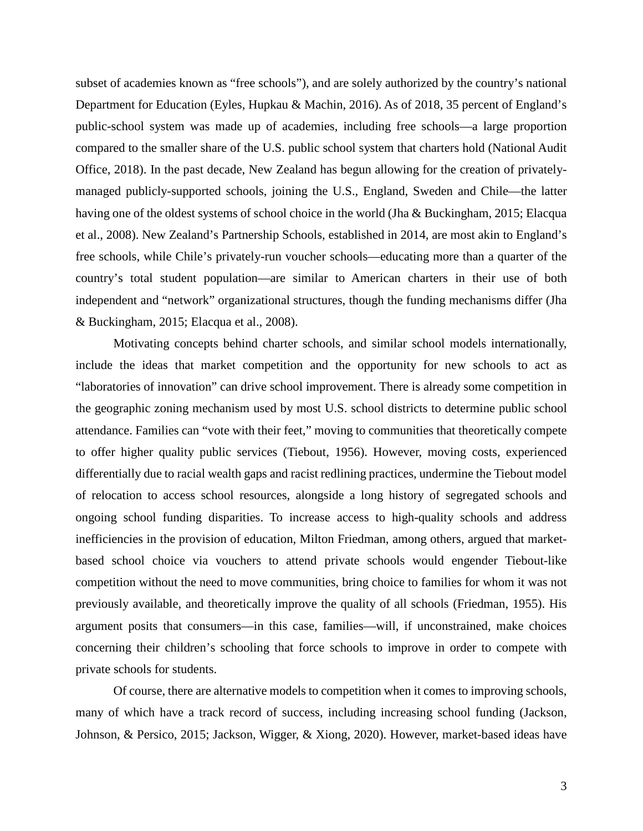subset of academies known as "free schools"), and are solely authorized by the country's national Department for Education (Eyles, Hupkau & Machin, 2016). As of 2018, 35 percent of England's public-school system was made up of academies, including free schools—a large proportion compared to the smaller share of the U.S. public school system that charters hold (National Audit Office, 2018). In the past decade, New Zealand has begun allowing for the creation of privatelymanaged publicly-supported schools, joining the U.S., England, Sweden and Chile—the latter having one of the oldest systems of school choice in the world (Jha & Buckingham, 2015; Elacqua et al., 2008). New Zealand's Partnership Schools, established in 2014, are most akin to England's free schools, while Chile's privately-run voucher schools—educating more than a quarter of the country's total student population—are similar to American charters in their use of both independent and "network" organizational structures, though the funding mechanisms differ (Jha & Buckingham, 2015; Elacqua et al., 2008).

Motivating concepts behind charter schools, and similar school models internationally, include the ideas that market competition and the opportunity for new schools to act as "laboratories of innovation" can drive school improvement. There is already some competition in the geographic zoning mechanism used by most U.S. school districts to determine public school attendance. Families can "vote with their feet," moving to communities that theoretically compete to offer higher quality public services (Tiebout, 1956). However, moving costs, experienced differentially due to racial wealth gaps and racist redlining practices, undermine the Tiebout model of relocation to access school resources, alongside a long history of segregated schools and ongoing school funding disparities. To increase access to high-quality schools and address inefficiencies in the provision of education, Milton Friedman, among others, argued that marketbased school choice via vouchers to attend private schools would engender Tiebout-like competition without the need to move communities, bring choice to families for whom it was not previously available, and theoretically improve the quality of all schools (Friedman, 1955). His argument posits that consumers—in this case, families—will, if unconstrained, make choices concerning their children's schooling that force schools to improve in order to compete with private schools for students.

Of course, there are alternative models to competition when it comes to improving schools, many of which have a track record of success, including increasing school funding (Jackson, Johnson, & Persico, 2015; Jackson, Wigger, & Xiong, 2020). However, market-based ideas have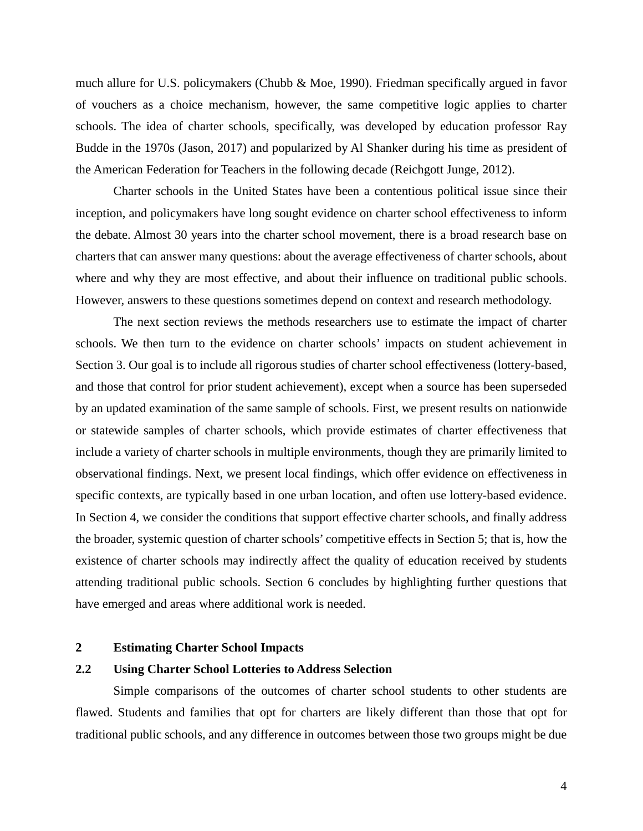much allure for U.S. policymakers (Chubb & Moe, 1990). Friedman specifically argued in favor of vouchers as a choice mechanism, however, the same competitive logic applies to charter schools. The idea of charter schools, specifically, was developed by education professor Ray Budde in the 1970s (Jason, 2017) and popularized by Al Shanker during his time as president of the American Federation for Teachers in the following decade (Reichgott Junge, 2012).

Charter schools in the United States have been a contentious political issue since their inception, and policymakers have long sought evidence on charter school effectiveness to inform the debate. Almost 30 years into the charter school movement, there is a broad research base on charters that can answer many questions: about the average effectiveness of charter schools, about where and why they are most effective, and about their influence on traditional public schools. However, answers to these questions sometimes depend on context and research methodology.

The next section reviews the methods researchers use to estimate the impact of charter schools. We then turn to the evidence on charter schools' impacts on student achievement in Section 3. Our goal is to include all rigorous studies of charter school effectiveness (lottery-based, and those that control for prior student achievement), except when a source has been superseded by an updated examination of the same sample of schools. First, we present results on nationwide or statewide samples of charter schools, which provide estimates of charter effectiveness that include a variety of charter schools in multiple environments, though they are primarily limited to observational findings. Next, we present local findings, which offer evidence on effectiveness in specific contexts, are typically based in one urban location, and often use lottery-based evidence. In Section 4, we consider the conditions that support effective charter schools, and finally address the broader, systemic question of charter schools' competitive effects in Section 5; that is, how the existence of charter schools may indirectly affect the quality of education received by students attending traditional public schools. Section 6 concludes by highlighting further questions that have emerged and areas where additional work is needed.

### **2 Estimating Charter School Impacts**

# **2.2 Using Charter School Lotteries to Address Selection**

Simple comparisons of the outcomes of charter school students to other students are flawed. Students and families that opt for charters are likely different than those that opt for traditional public schools, and any difference in outcomes between those two groups might be due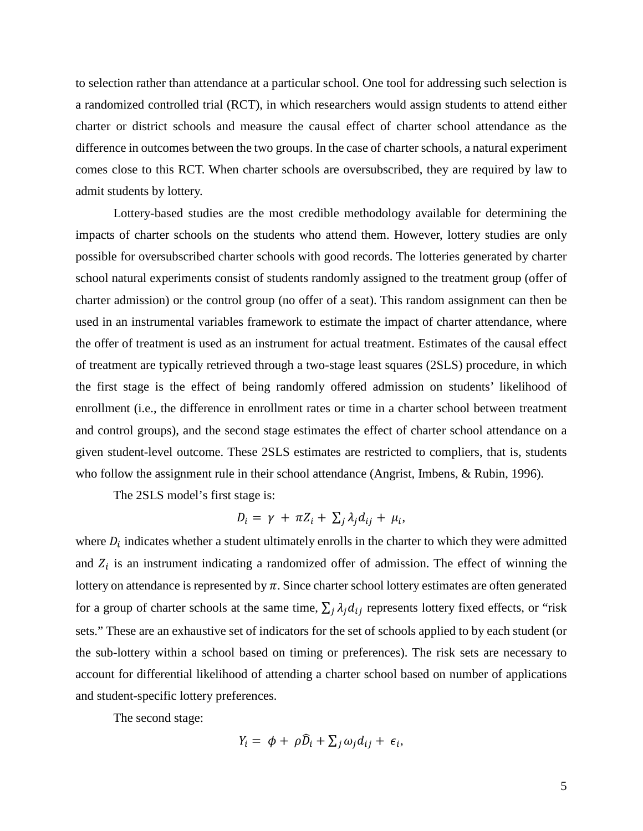to selection rather than attendance at a particular school. One tool for addressing such selection is a randomized controlled trial (RCT), in which researchers would assign students to attend either charter or district schools and measure the causal effect of charter school attendance as the difference in outcomes between the two groups. In the case of charter schools, a natural experiment comes close to this RCT. When charter schools are oversubscribed, they are required by law to admit students by lottery.

Lottery-based studies are the most credible methodology available for determining the impacts of charter schools on the students who attend them. However, lottery studies are only possible for oversubscribed charter schools with good records. The lotteries generated by charter school natural experiments consist of students randomly assigned to the treatment group (offer of charter admission) or the control group (no offer of a seat). This random assignment can then be used in an instrumental variables framework to estimate the impact of charter attendance, where the offer of treatment is used as an instrument for actual treatment. Estimates of the causal effect of treatment are typically retrieved through a two-stage least squares (2SLS) procedure, in which the first stage is the effect of being randomly offered admission on students' likelihood of enrollment (i.e., the difference in enrollment rates or time in a charter school between treatment and control groups), and the second stage estimates the effect of charter school attendance on a given student-level outcome. These 2SLS estimates are restricted to compliers, that is, students who follow the assignment rule in their school attendance (Angrist, Imbens, & Rubin, 1996).

The 2SLS model's first stage is:

$$
D_i = \gamma + \pi Z_i + \sum_j \lambda_j d_{ij} + \mu_i,
$$

where  $D_i$  indicates whether a student ultimately enrolls in the charter to which they were admitted and  $Z_i$  is an instrument indicating a randomized offer of admission. The effect of winning the lottery on attendance is represented by  $\pi$ . Since charter school lottery estimates are often generated for a group of charter schools at the same time,  $\sum_i \lambda_i d_{ij}$  represents lottery fixed effects, or "risk" sets." These are an exhaustive set of indicators for the set of schools applied to by each student (or the sub-lottery within a school based on timing or preferences). The risk sets are necessary to account for differential likelihood of attending a charter school based on number of applications and student-specific lottery preferences.

The second stage:

$$
Y_i = \phi + \rho \widehat{D}_i + \sum_j \omega_j d_{ij} + \epsilon_i,
$$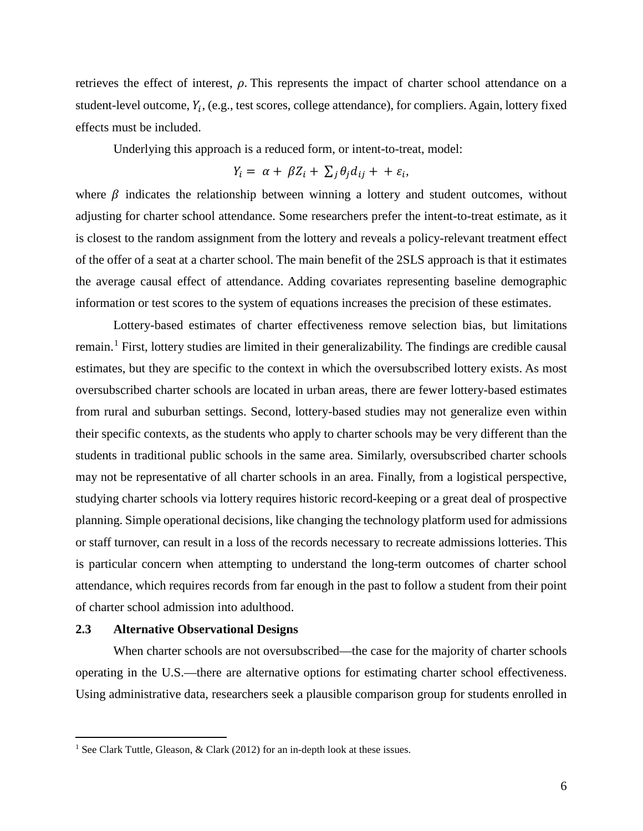retrieves the effect of interest,  $\rho$ . This represents the impact of charter school attendance on a student-level outcome,  $Y_i$ , (e.g., test scores, college attendance), for compliers. Again, lottery fixed effects must be included.

Underlying this approach is a reduced form, or intent-to-treat, model:

$$
Y_i = \alpha + \beta Z_i + \sum_j \theta_j d_{ij} + \epsilon_i,
$$

where  $\beta$  indicates the relationship between winning a lottery and student outcomes, without adjusting for charter school attendance. Some researchers prefer the intent-to-treat estimate, as it is closest to the random assignment from the lottery and reveals a policy-relevant treatment effect of the offer of a seat at a charter school. The main benefit of the 2SLS approach is that it estimates the average causal effect of attendance. Adding covariates representing baseline demographic information or test scores to the system of equations increases the precision of these estimates.

Lottery-based estimates of charter effectiveness remove selection bias, but limitations remain.[1](#page-6-0) First, lottery studies are limited in their generalizability. The findings are credible causal estimates, but they are specific to the context in which the oversubscribed lottery exists. As most oversubscribed charter schools are located in urban areas, there are fewer lottery-based estimates from rural and suburban settings. Second, lottery-based studies may not generalize even within their specific contexts, as the students who apply to charter schools may be very different than the students in traditional public schools in the same area. Similarly, oversubscribed charter schools may not be representative of all charter schools in an area. Finally, from a logistical perspective, studying charter schools via lottery requires historic record-keeping or a great deal of prospective planning. Simple operational decisions, like changing the technology platform used for admissions or staff turnover, can result in a loss of the records necessary to recreate admissions lotteries. This is particular concern when attempting to understand the long-term outcomes of charter school attendance, which requires records from far enough in the past to follow a student from their point of charter school admission into adulthood.

### **2.3 Alternative Observational Designs**

 $\overline{a}$ 

When charter schools are not oversubscribed—the case for the majority of charter schools operating in the U.S.—there are alternative options for estimating charter school effectiveness. Using administrative data, researchers seek a plausible comparison group for students enrolled in

<span id="page-6-0"></span><sup>&</sup>lt;sup>1</sup> See Clark Tuttle, Gleason, & Clark (2012) for an in-depth look at these issues.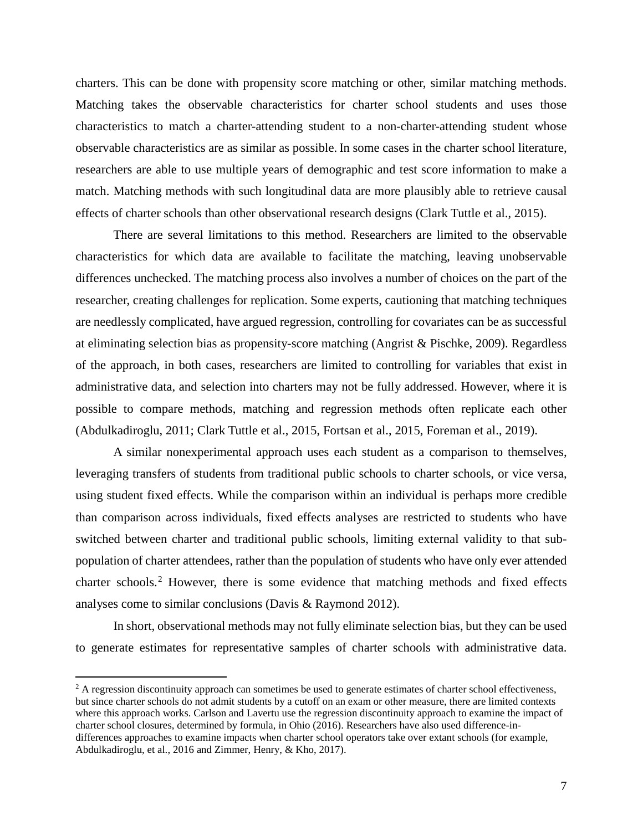charters. This can be done with propensity score matching or other, similar matching methods. Matching takes the observable characteristics for charter school students and uses those characteristics to match a charter-attending student to a non-charter-attending student whose observable characteristics are as similar as possible. In some cases in the charter school literature, researchers are able to use multiple years of demographic and test score information to make a match. Matching methods with such longitudinal data are more plausibly able to retrieve causal effects of charter schools than other observational research designs (Clark Tuttle et al., 2015).

There are several limitations to this method. Researchers are limited to the observable characteristics for which data are available to facilitate the matching, leaving unobservable differences unchecked. The matching process also involves a number of choices on the part of the researcher, creating challenges for replication. Some experts, cautioning that matching techniques are needlessly complicated, have argued regression, controlling for covariates can be as successful at eliminating selection bias as propensity-score matching (Angrist & Pischke, 2009). Regardless of the approach, in both cases, researchers are limited to controlling for variables that exist in administrative data, and selection into charters may not be fully addressed. However, where it is possible to compare methods, matching and regression methods often replicate each other (Abdulkadiroglu, 2011; Clark Tuttle et al., 2015, Fortsan et al., 2015, Foreman et al., 2019).

A similar nonexperimental approach uses each student as a comparison to themselves, leveraging transfers of students from traditional public schools to charter schools, or vice versa, using student fixed effects. While the comparison within an individual is perhaps more credible than comparison across individuals, fixed effects analyses are restricted to students who have switched between charter and traditional public schools, limiting external validity to that subpopulation of charter attendees, rather than the population of students who have only ever attended charter schools.<sup>[2](#page-7-0)</sup> However, there is some evidence that matching methods and fixed effects analyses come to similar conclusions (Davis & Raymond 2012).

In short, observational methods may not fully eliminate selection bias, but they can be used to generate estimates for representative samples of charter schools with administrative data.

 $\overline{a}$ 

<span id="page-7-0"></span> $2$  A regression discontinuity approach can sometimes be used to generate estimates of charter school effectiveness, but since charter schools do not admit students by a cutoff on an exam or other measure, there are limited contexts where this approach works. Carlson and Lavertu use the regression discontinuity approach to examine the impact of charter school closures, determined by formula, in Ohio (2016). Researchers have also used difference-indifferences approaches to examine impacts when charter school operators take over extant schools (for example, Abdulkadiroglu, et al., 2016 and Zimmer, Henry, & Kho, 2017).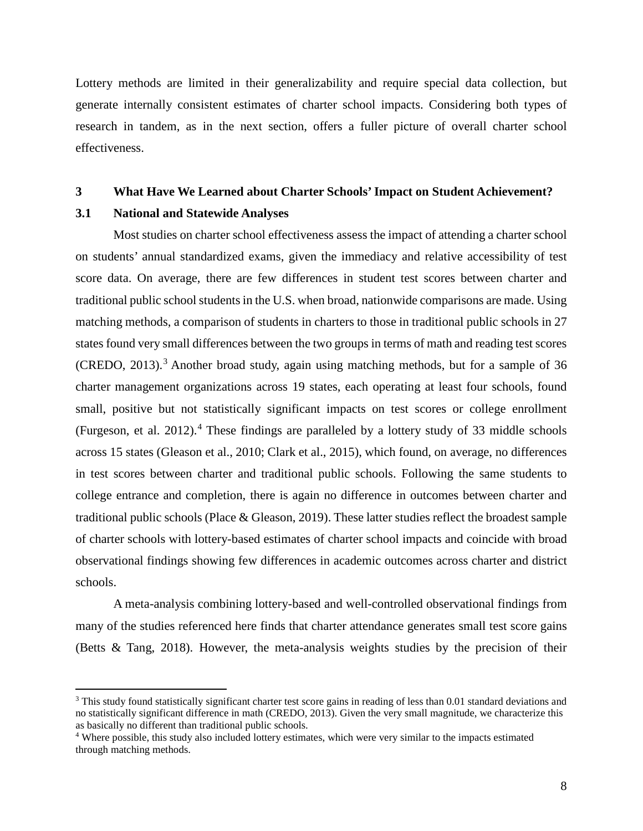Lottery methods are limited in their generalizability and require special data collection, but generate internally consistent estimates of charter school impacts. Considering both types of research in tandem, as in the next section, offers a fuller picture of overall charter school effectiveness.

#### **3 What Have We Learned about Charter Schools' Impact on Student Achievement?**

#### **3.1 National and Statewide Analyses**

 $\overline{a}$ 

Most studies on charter school effectiveness assess the impact of attending a charter school on students' annual standardized exams, given the immediacy and relative accessibility of test score data. On average, there are few differences in student test scores between charter and traditional public school students in the U.S. when broad, nationwide comparisons are made. Using matching methods, a comparison of students in charters to those in traditional public schools in 27 states found very small differences between the two groups in terms of math and reading test scores (CREDO, 201[3](#page-8-0)).<sup>3</sup> Another broad study, again using matching methods, but for a sample of 36 charter management organizations across 19 states, each operating at least four schools, found small, positive but not statistically significant impacts on test scores or college enrollment (Furgeson, et al. 2012).<sup>[4](#page-8-1)</sup> These findings are paralleled by a lottery study of 33 middle schools across 15 states (Gleason et al., 2010; Clark et al., 2015), which found, on average, no differences in test scores between charter and traditional public schools. Following the same students to college entrance and completion, there is again no difference in outcomes between charter and traditional public schools (Place & Gleason, 2019). These latter studies reflect the broadest sample of charter schools with lottery-based estimates of charter school impacts and coincide with broad observational findings showing few differences in academic outcomes across charter and district schools.

A meta-analysis combining lottery-based and well-controlled observational findings from many of the studies referenced here finds that charter attendance generates small test score gains (Betts & Tang, 2018). However, the meta-analysis weights studies by the precision of their

<span id="page-8-0"></span><sup>&</sup>lt;sup>3</sup> This study found statistically significant charter test score gains in reading of less than 0.01 standard deviations and no statistically significant difference in math (CREDO, 2013). Given the very small magnitude, we characterize this as basically no different than traditional public schools.<br><sup>4</sup> Where possible, this study also included lottery estimates, which were very similar to the impacts estimated

<span id="page-8-1"></span>through matching methods.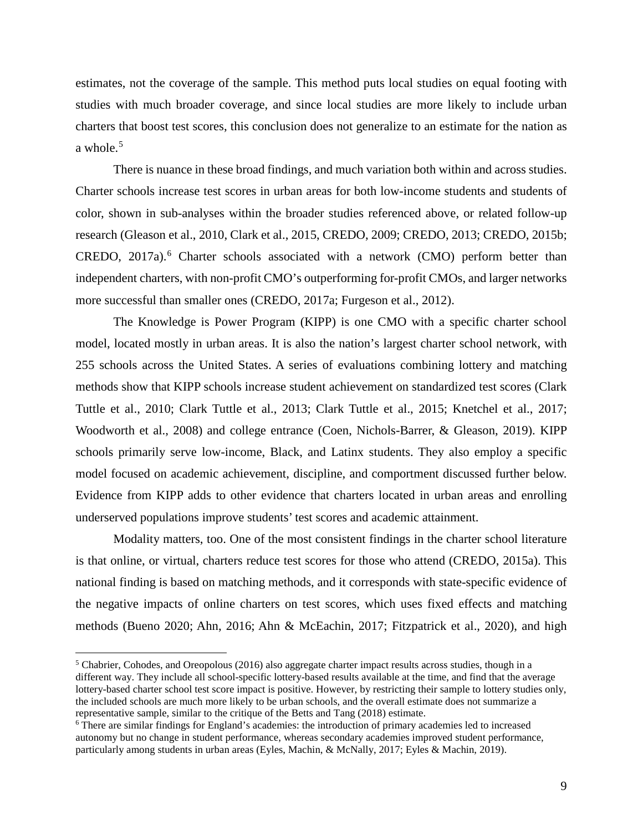estimates, not the coverage of the sample. This method puts local studies on equal footing with studies with much broader coverage, and since local studies are more likely to include urban charters that boost test scores, this conclusion does not generalize to an estimate for the nation as a whole. $5$ 

There is nuance in these broad findings, and much variation both within and across studies. Charter schools increase test scores in urban areas for both low-income students and students of color, shown in sub-analyses within the broader studies referenced above, or related follow-up research (Gleason et al., 2010, Clark et al., 2015, CREDO, 2009; CREDO, 2013; CREDO, 2015b; CREDO, 2017a).<sup>[6](#page-9-1)</sup> Charter schools associated with a network (CMO) perform better than independent charters, with non-profit CMO's outperforming for-profit CMOs, and larger networks more successful than smaller ones (CREDO, 2017a; Furgeson et al., 2012).

The Knowledge is Power Program (KIPP) is one CMO with a specific charter school model, located mostly in urban areas. It is also the nation's largest charter school network, with 255 schools across the United States. A series of evaluations combining lottery and matching methods show that KIPP schools increase student achievement on standardized test scores (Clark Tuttle et al., 2010; Clark Tuttle et al., 2013; Clark Tuttle et al., 2015; Knetchel et al., 2017; Woodworth et al., 2008) and college entrance (Coen, Nichols-Barrer, & Gleason, 2019). KIPP schools primarily serve low-income, Black, and Latinx students. They also employ a specific model focused on academic achievement, discipline, and comportment discussed further below. Evidence from KIPP adds to other evidence that charters located in urban areas and enrolling underserved populations improve students' test scores and academic attainment.

Modality matters, too. One of the most consistent findings in the charter school literature is that online, or virtual, charters reduce test scores for those who attend (CREDO, 2015a). This national finding is based on matching methods, and it corresponds with state-specific evidence of the negative impacts of online charters on test scores, which uses fixed effects and matching methods (Bueno 2020; Ahn, 2016; Ahn & McEachin, 2017; Fitzpatrick et al., 2020), and high

 $\overline{a}$ 

<span id="page-9-0"></span> $5$  Chabrier, Cohodes, and Oreopolous (2016) also aggregate charter impact results across studies, though in a different way. They include all school-specific lottery-based results available at the time, and find that the average lottery-based charter school test score impact is positive. However, by restricting their sample to lottery studies only, the included schools are much more likely to be urban schools, and the overall estimate does not summarize a representative sample, similar to the critique of the Betts and Tang (2018) estimate.

<span id="page-9-1"></span><sup>6</sup> There are similar findings for England's academies: the introduction of primary academies led to increased autonomy but no change in student performance, whereas secondary academies improved student performance, particularly among students in urban areas (Eyles, Machin, & McNally, 2017; Eyles & Machin, 2019).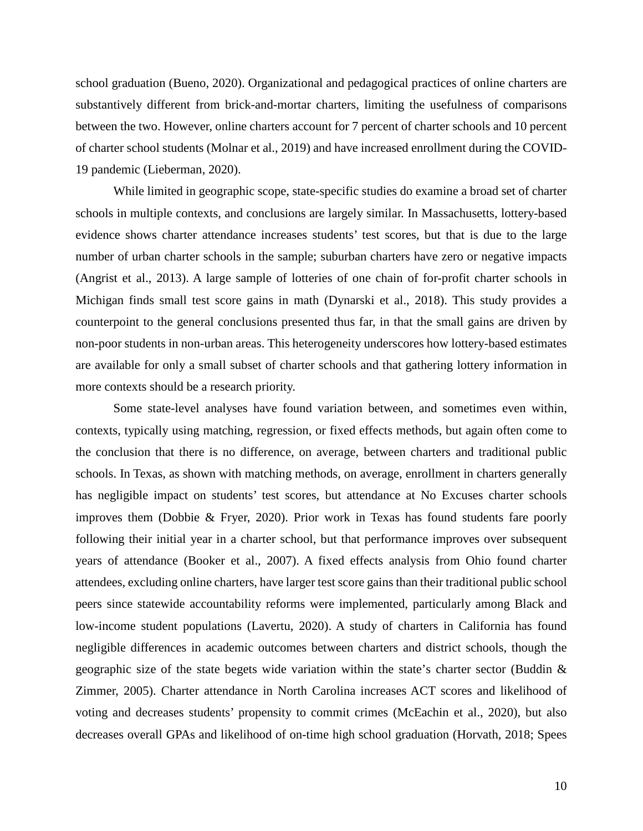school graduation (Bueno, 2020). Organizational and pedagogical practices of online charters are substantively different from brick-and-mortar charters, limiting the usefulness of comparisons between the two. However, online charters account for 7 percent of charter schools and 10 percent of charter school students (Molnar et al., 2019) and have increased enrollment during the COVID-19 pandemic (Lieberman, 2020).

While limited in geographic scope, state-specific studies do examine a broad set of charter schools in multiple contexts, and conclusions are largely similar. In Massachusetts, lottery-based evidence shows charter attendance increases students' test scores, but that is due to the large number of urban charter schools in the sample; suburban charters have zero or negative impacts (Angrist et al., 2013). A large sample of lotteries of one chain of for-profit charter schools in Michigan finds small test score gains in math (Dynarski et al., 2018). This study provides a counterpoint to the general conclusions presented thus far, in that the small gains are driven by non-poor students in non-urban areas. This heterogeneity underscores how lottery-based estimates are available for only a small subset of charter schools and that gathering lottery information in more contexts should be a research priority.

Some state-level analyses have found variation between, and sometimes even within, contexts, typically using matching, regression, or fixed effects methods, but again often come to the conclusion that there is no difference, on average, between charters and traditional public schools. In Texas, as shown with matching methods, on average, enrollment in charters generally has negligible impact on students' test scores, but attendance at No Excuses charter schools improves them (Dobbie & Fryer, 2020). Prior work in Texas has found students fare poorly following their initial year in a charter school, but that performance improves over subsequent years of attendance (Booker et al., 2007). A fixed effects analysis from Ohio found charter attendees, excluding online charters, have larger test score gains than their traditional public school peers since statewide accountability reforms were implemented, particularly among Black and low-income student populations (Lavertu, 2020). A study of charters in California has found negligible differences in academic outcomes between charters and district schools, though the geographic size of the state begets wide variation within the state's charter sector (Buddin & Zimmer, 2005). Charter attendance in North Carolina increases ACT scores and likelihood of voting and decreases students' propensity to commit crimes (McEachin et al., 2020), but also decreases overall GPAs and likelihood of on-time high school graduation (Horvath, 2018; Spees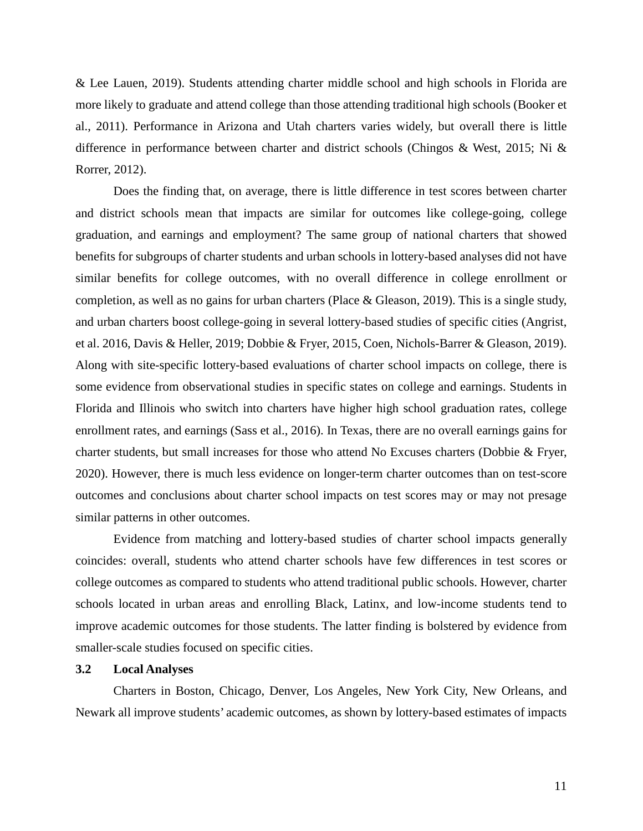& Lee Lauen, 2019). Students attending charter middle school and high schools in Florida are more likely to graduate and attend college than those attending traditional high schools (Booker et al., 2011). Performance in Arizona and Utah charters varies widely, but overall there is little difference in performance between charter and district schools (Chingos & West, 2015; Ni & Rorrer, 2012).

Does the finding that, on average, there is little difference in test scores between charter and district schools mean that impacts are similar for outcomes like college-going, college graduation, and earnings and employment? The same group of national charters that showed benefits for subgroups of charter students and urban schools in lottery-based analyses did not have similar benefits for college outcomes, with no overall difference in college enrollment or completion, as well as no gains for urban charters (Place & Gleason, 2019). This is a single study, and urban charters boost college-going in several lottery-based studies of specific cities (Angrist, et al. 2016, Davis & Heller, 2019; Dobbie & Fryer, 2015, Coen, Nichols-Barrer & Gleason, 2019). Along with site-specific lottery-based evaluations of charter school impacts on college, there is some evidence from observational studies in specific states on college and earnings. Students in Florida and Illinois who switch into charters have higher high school graduation rates, college enrollment rates, and earnings (Sass et al., 2016). In Texas, there are no overall earnings gains for charter students, but small increases for those who attend No Excuses charters (Dobbie & Fryer, 2020). However, there is much less evidence on longer-term charter outcomes than on test-score outcomes and conclusions about charter school impacts on test scores may or may not presage similar patterns in other outcomes.

Evidence from matching and lottery-based studies of charter school impacts generally coincides: overall, students who attend charter schools have few differences in test scores or college outcomes as compared to students who attend traditional public schools. However, charter schools located in urban areas and enrolling Black, Latinx, and low-income students tend to improve academic outcomes for those students. The latter finding is bolstered by evidence from smaller-scale studies focused on specific cities.

# **3.2 Local Analyses**

Charters in Boston, Chicago, Denver, Los Angeles, New York City, New Orleans, and Newark all improve students' academic outcomes, as shown by lottery-based estimates of impacts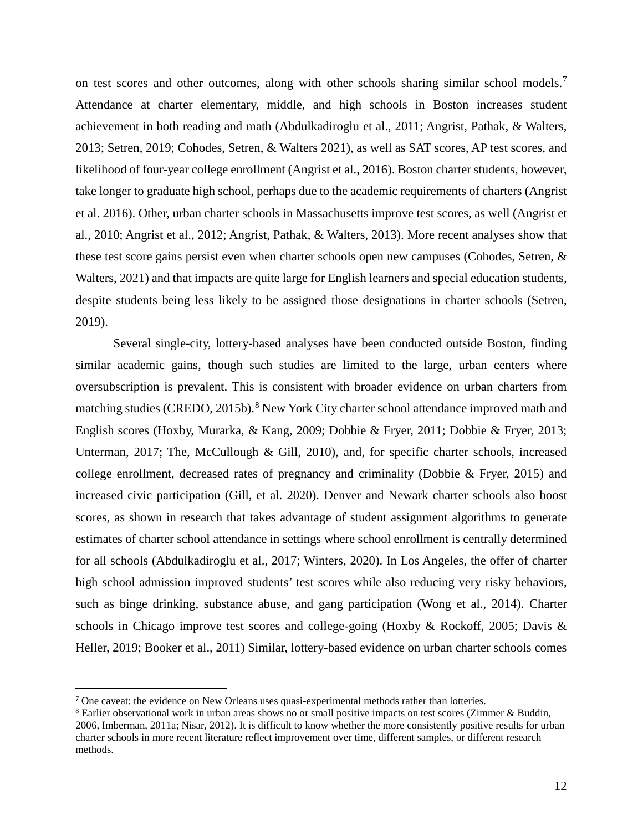on test scores and other outcomes, along with other schools sharing similar school models.<sup>[7](#page-12-0)</sup> Attendance at charter elementary, middle, and high schools in Boston increases student achievement in both reading and math (Abdulkadiroglu et al., 2011; Angrist, Pathak, & Walters, 2013; Setren, 2019; Cohodes, Setren, & Walters 2021), as well as SAT scores, AP test scores, and likelihood of four-year college enrollment (Angrist et al., 2016). Boston charter students, however, take longer to graduate high school, perhaps due to the academic requirements of charters (Angrist et al. 2016). Other, urban charter schools in Massachusetts improve test scores, as well (Angrist et al., 2010; Angrist et al., 2012; Angrist, Pathak, & Walters, 2013). More recent analyses show that these test score gains persist even when charter schools open new campuses (Cohodes, Setren, & Walters, 2021) and that impacts are quite large for English learners and special education students, despite students being less likely to be assigned those designations in charter schools (Setren, 2019).

Several single-city, lottery-based analyses have been conducted outside Boston, finding similar academic gains, though such studies are limited to the large, urban centers where oversubscription is prevalent. This is consistent with broader evidence on urban charters from matching studies (CREDO, 2015b).<sup>[8](#page-12-1)</sup> New York City charter school attendance improved math and English scores (Hoxby, Murarka, & Kang, 2009; Dobbie & Fryer, 2011; Dobbie & Fryer, 2013; Unterman, 2017; The, McCullough & Gill, 2010), and, for specific charter schools, increased college enrollment, decreased rates of pregnancy and criminality (Dobbie & Fryer, 2015) and increased civic participation (Gill, et al. 2020). Denver and Newark charter schools also boost scores, as shown in research that takes advantage of student assignment algorithms to generate estimates of charter school attendance in settings where school enrollment is centrally determined for all schools (Abdulkadiroglu et al., 2017; Winters, 2020). In Los Angeles, the offer of charter high school admission improved students' test scores while also reducing very risky behaviors, such as binge drinking, substance abuse, and gang participation (Wong et al., 2014). Charter schools in Chicago improve test scores and college-going (Hoxby & Rockoff, 2005; Davis & Heller, 2019; Booker et al., 2011) Similar, lottery-based evidence on urban charter schools comes

 $\overline{a}$ 

<span id="page-12-0"></span><sup>7</sup> One caveat: the evidence on New Orleans uses quasi-experimental methods rather than lotteries.

<span id="page-12-1"></span><sup>&</sup>lt;sup>8</sup> Earlier observational work in urban areas shows no or small positive impacts on test scores (Zimmer & Buddin, 2006, Imberman, 2011a; Nisar, 2012). It is difficult to know whether the more consistently positive results for urban charter schools in more recent literature reflect improvement over time, different samples, or different research methods.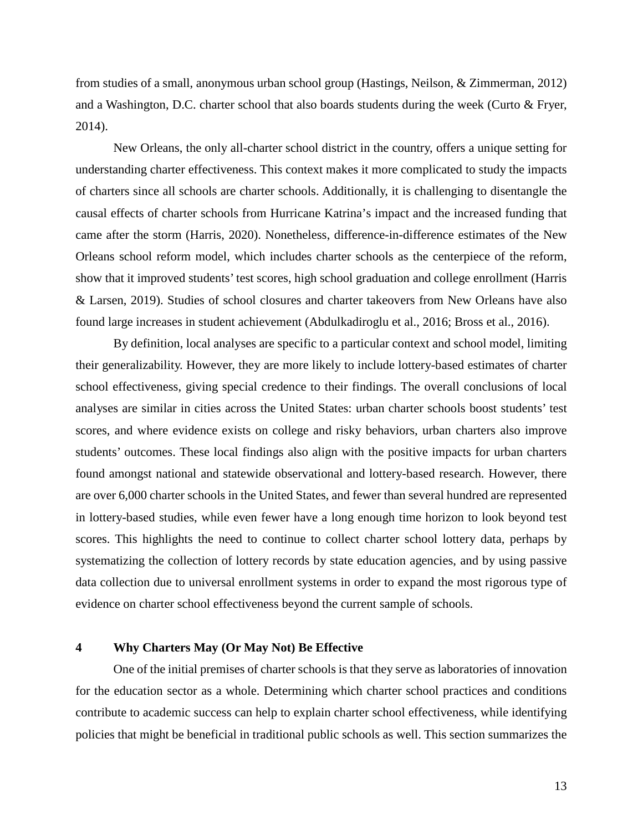from studies of a small, anonymous urban school group (Hastings, Neilson, & Zimmerman, 2012) and a Washington, D.C. charter school that also boards students during the week (Curto & Fryer, 2014).

New Orleans, the only all-charter school district in the country, offers a unique setting for understanding charter effectiveness. This context makes it more complicated to study the impacts of charters since all schools are charter schools. Additionally, it is challenging to disentangle the causal effects of charter schools from Hurricane Katrina's impact and the increased funding that came after the storm (Harris, 2020). Nonetheless, difference-in-difference estimates of the New Orleans school reform model, which includes charter schools as the centerpiece of the reform, show that it improved students' test scores, high school graduation and college enrollment (Harris & Larsen, 2019). Studies of school closures and charter takeovers from New Orleans have also found large increases in student achievement (Abdulkadiroglu et al., 2016; Bross et al., 2016).

By definition, local analyses are specific to a particular context and school model, limiting their generalizability. However, they are more likely to include lottery-based estimates of charter school effectiveness, giving special credence to their findings. The overall conclusions of local analyses are similar in cities across the United States: urban charter schools boost students' test scores, and where evidence exists on college and risky behaviors, urban charters also improve students' outcomes. These local findings also align with the positive impacts for urban charters found amongst national and statewide observational and lottery-based research. However, there are over 6,000 charter schools in the United States, and fewer than several hundred are represented in lottery-based studies, while even fewer have a long enough time horizon to look beyond test scores. This highlights the need to continue to collect charter school lottery data, perhaps by systematizing the collection of lottery records by state education agencies, and by using passive data collection due to universal enrollment systems in order to expand the most rigorous type of evidence on charter school effectiveness beyond the current sample of schools.

### **4 Why Charters May (Or May Not) Be Effective**

One of the initial premises of charter schools is that they serve as laboratories of innovation for the education sector as a whole. Determining which charter school practices and conditions contribute to academic success can help to explain charter school effectiveness, while identifying policies that might be beneficial in traditional public schools as well. This section summarizes the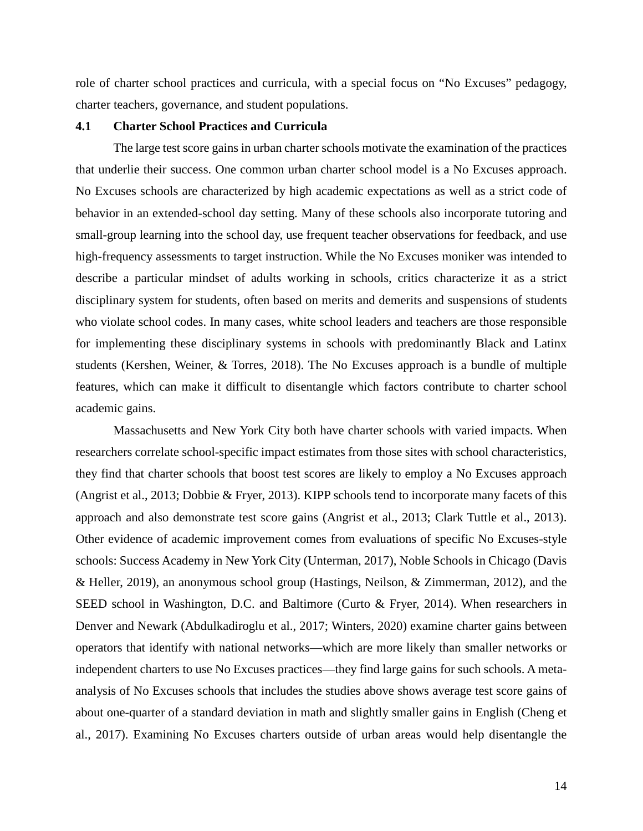role of charter school practices and curricula, with a special focus on "No Excuses" pedagogy, charter teachers, governance, and student populations.

# **4.1 Charter School Practices and Curricula**

The large test score gains in urban charter schools motivate the examination of the practices that underlie their success. One common urban charter school model is a No Excuses approach. No Excuses schools are characterized by high academic expectations as well as a strict code of behavior in an extended-school day setting. Many of these schools also incorporate tutoring and small-group learning into the school day, use frequent teacher observations for feedback, and use high-frequency assessments to target instruction. While the No Excuses moniker was intended to describe a particular mindset of adults working in schools, critics characterize it as a strict disciplinary system for students, often based on merits and demerits and suspensions of students who violate school codes. In many cases, white school leaders and teachers are those responsible for implementing these disciplinary systems in schools with predominantly Black and Latinx students (Kershen, Weiner, & Torres, 2018). The No Excuses approach is a bundle of multiple features, which can make it difficult to disentangle which factors contribute to charter school academic gains.

Massachusetts and New York City both have charter schools with varied impacts. When researchers correlate school-specific impact estimates from those sites with school characteristics, they find that charter schools that boost test scores are likely to employ a No Excuses approach (Angrist et al., 2013; Dobbie & Fryer, 2013). KIPP schools tend to incorporate many facets of this approach and also demonstrate test score gains (Angrist et al., 2013; Clark Tuttle et al., 2013). Other evidence of academic improvement comes from evaluations of specific No Excuses-style schools: Success Academy in New York City (Unterman, 2017), Noble Schools in Chicago (Davis & Heller, 2019), an anonymous school group (Hastings, Neilson, & Zimmerman, 2012), and the SEED school in Washington, D.C. and Baltimore (Curto & Fryer, 2014). When researchers in Denver and Newark (Abdulkadiroglu et al., 2017; Winters, 2020) examine charter gains between operators that identify with national networks—which are more likely than smaller networks or independent charters to use No Excuses practices—they find large gains for such schools. A metaanalysis of No Excuses schools that includes the studies above shows average test score gains of about one-quarter of a standard deviation in math and slightly smaller gains in English (Cheng et al., 2017). Examining No Excuses charters outside of urban areas would help disentangle the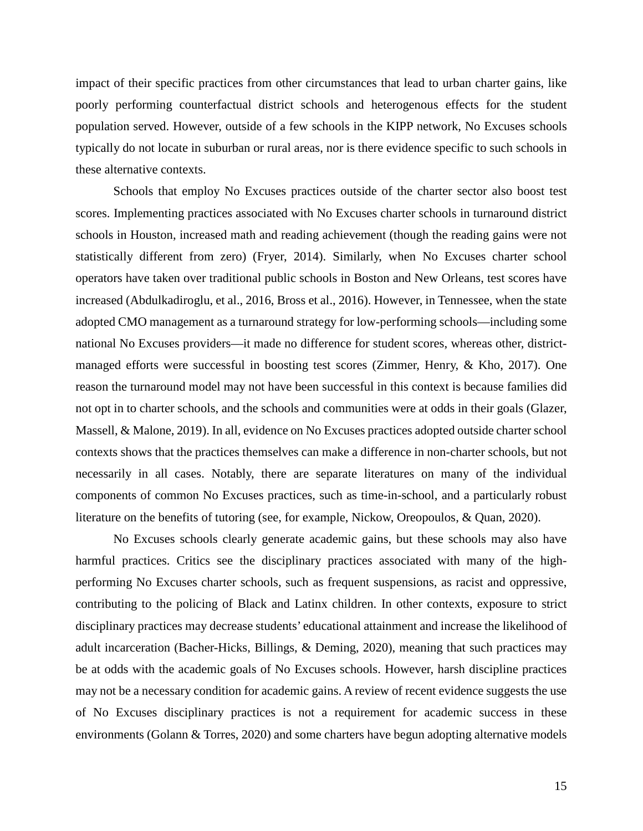impact of their specific practices from other circumstances that lead to urban charter gains, like poorly performing counterfactual district schools and heterogenous effects for the student population served. However, outside of a few schools in the KIPP network, No Excuses schools typically do not locate in suburban or rural areas, nor is there evidence specific to such schools in these alternative contexts.

Schools that employ No Excuses practices outside of the charter sector also boost test scores. Implementing practices associated with No Excuses charter schools in turnaround district schools in Houston, increased math and reading achievement (though the reading gains were not statistically different from zero) (Fryer, 2014). Similarly, when No Excuses charter school operators have taken over traditional public schools in Boston and New Orleans, test scores have increased (Abdulkadiroglu, et al., 2016, Bross et al., 2016). However, in Tennessee, when the state adopted CMO management as a turnaround strategy for low-performing schools—including some national No Excuses providers—it made no difference for student scores, whereas other, districtmanaged efforts were successful in boosting test scores (Zimmer, Henry, & Kho, 2017). One reason the turnaround model may not have been successful in this context is because families did not opt in to charter schools, and the schools and communities were at odds in their goals (Glazer, Massell, & Malone, 2019). In all, evidence on No Excuses practices adopted outside charter school contexts shows that the practices themselves can make a difference in non-charter schools, but not necessarily in all cases. Notably, there are separate literatures on many of the individual components of common No Excuses practices, such as time-in-school, and a particularly robust literature on the benefits of tutoring (see, for example, Nickow, Oreopoulos, & Quan, 2020).

No Excuses schools clearly generate academic gains, but these schools may also have harmful practices. Critics see the disciplinary practices associated with many of the highperforming No Excuses charter schools, such as frequent suspensions, as racist and oppressive, contributing to the policing of Black and Latinx children. In other contexts, exposure to strict disciplinary practices may decrease students' educational attainment and increase the likelihood of adult incarceration (Bacher-Hicks, Billings, & Deming, 2020), meaning that such practices may be at odds with the academic goals of No Excuses schools. However, harsh discipline practices may not be a necessary condition for academic gains. A review of recent evidence suggests the use of No Excuses disciplinary practices is not a requirement for academic success in these environments (Golann & Torres, 2020) and some charters have begun adopting alternative models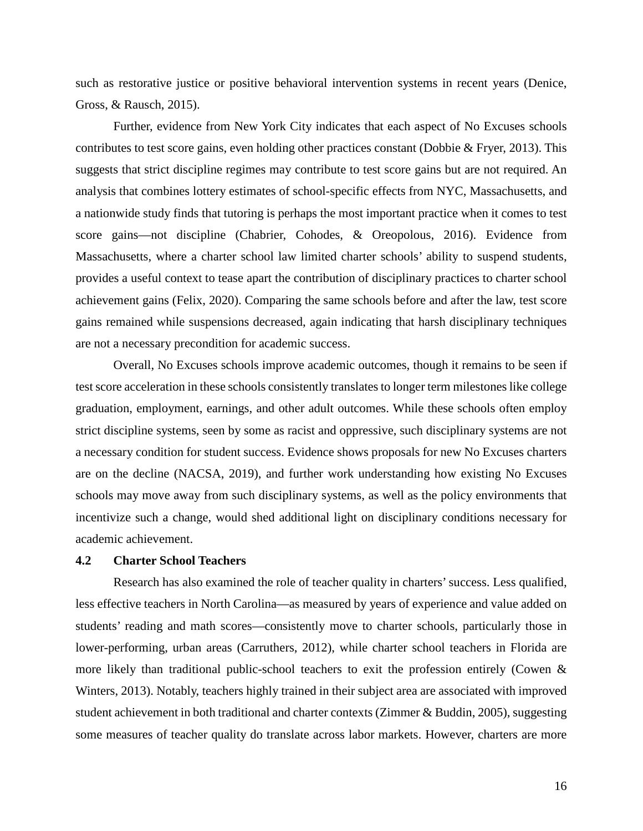such as restorative justice or positive behavioral intervention systems in recent years (Denice, Gross, & Rausch, 2015).

Further, evidence from New York City indicates that each aspect of No Excuses schools contributes to test score gains, even holding other practices constant (Dobbie & Fryer, 2013). This suggests that strict discipline regimes may contribute to test score gains but are not required. An analysis that combines lottery estimates of school-specific effects from NYC, Massachusetts, and a nationwide study finds that tutoring is perhaps the most important practice when it comes to test score gains—not discipline (Chabrier, Cohodes, & Oreopolous, 2016). Evidence from Massachusetts, where a charter school law limited charter schools' ability to suspend students, provides a useful context to tease apart the contribution of disciplinary practices to charter school achievement gains (Felix, 2020). Comparing the same schools before and after the law, test score gains remained while suspensions decreased, again indicating that harsh disciplinary techniques are not a necessary precondition for academic success.

Overall, No Excuses schools improve academic outcomes, though it remains to be seen if test score acceleration in these schools consistently translates to longer term milestones like college graduation, employment, earnings, and other adult outcomes. While these schools often employ strict discipline systems, seen by some as racist and oppressive, such disciplinary systems are not a necessary condition for student success. Evidence shows proposals for new No Excuses charters are on the decline (NACSA, 2019), and further work understanding how existing No Excuses schools may move away from such disciplinary systems, as well as the policy environments that incentivize such a change, would shed additional light on disciplinary conditions necessary for academic achievement.

## **4.2 Charter School Teachers**

Research has also examined the role of teacher quality in charters' success. Less qualified, less effective teachers in North Carolina—as measured by years of experience and value added on students' reading and math scores—consistently move to charter schools, particularly those in lower-performing, urban areas (Carruthers, 2012), while charter school teachers in Florida are more likely than traditional public-school teachers to exit the profession entirely (Cowen & Winters, 2013). Notably, teachers highly trained in their subject area are associated with improved student achievement in both traditional and charter contexts (Zimmer & Buddin, 2005), suggesting some measures of teacher quality do translate across labor markets. However, charters are more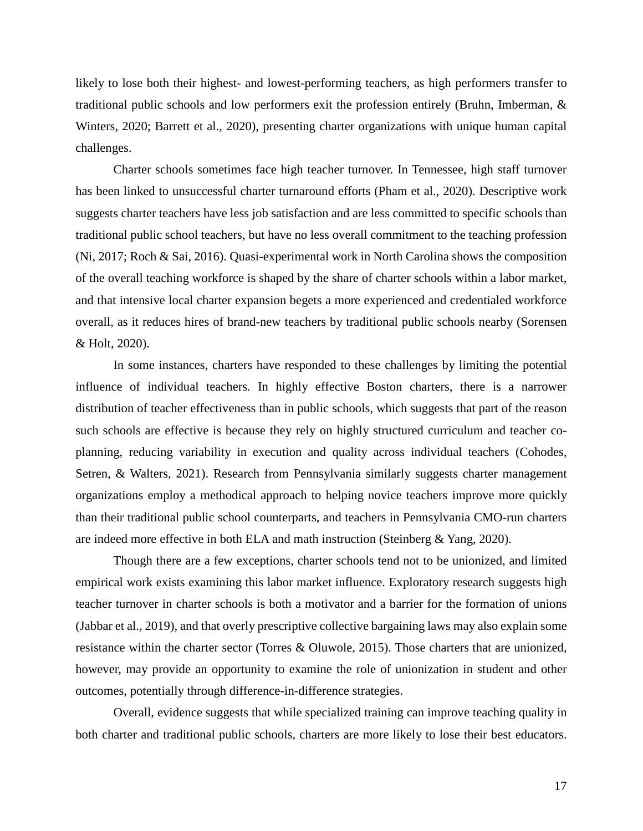likely to lose both their highest- and lowest-performing teachers, as high performers transfer to traditional public schools and low performers exit the profession entirely (Bruhn, Imberman, & Winters, 2020; Barrett et al., 2020), presenting charter organizations with unique human capital challenges.

Charter schools sometimes face high teacher turnover. In Tennessee, high staff turnover has been linked to unsuccessful charter turnaround efforts (Pham et al., 2020). Descriptive work suggests charter teachers have less job satisfaction and are less committed to specific schools than traditional public school teachers, but have no less overall commitment to the teaching profession (Ni, 2017; Roch & Sai, 2016). Quasi-experimental work in North Carolina shows the composition of the overall teaching workforce is shaped by the share of charter schools within a labor market, and that intensive local charter expansion begets a more experienced and credentialed workforce overall, as it reduces hires of brand-new teachers by traditional public schools nearby (Sorensen & Holt, 2020).

In some instances, charters have responded to these challenges by limiting the potential influence of individual teachers. In highly effective Boston charters, there is a narrower distribution of teacher effectiveness than in public schools, which suggests that part of the reason such schools are effective is because they rely on highly structured curriculum and teacher coplanning, reducing variability in execution and quality across individual teachers (Cohodes, Setren, & Walters, 2021). Research from Pennsylvania similarly suggests charter management organizations employ a methodical approach to helping novice teachers improve more quickly than their traditional public school counterparts, and teachers in Pennsylvania CMO-run charters are indeed more effective in both ELA and math instruction (Steinberg & Yang, 2020).

Though there are a few exceptions, charter schools tend not to be unionized, and limited empirical work exists examining this labor market influence. Exploratory research suggests high teacher turnover in charter schools is both a motivator and a barrier for the formation of unions (Jabbar et al., 2019), and that overly prescriptive collective bargaining laws may also explain some resistance within the charter sector (Torres & Oluwole, 2015). Those charters that are unionized, however, may provide an opportunity to examine the role of unionization in student and other outcomes, potentially through difference-in-difference strategies.

Overall, evidence suggests that while specialized training can improve teaching quality in both charter and traditional public schools, charters are more likely to lose their best educators.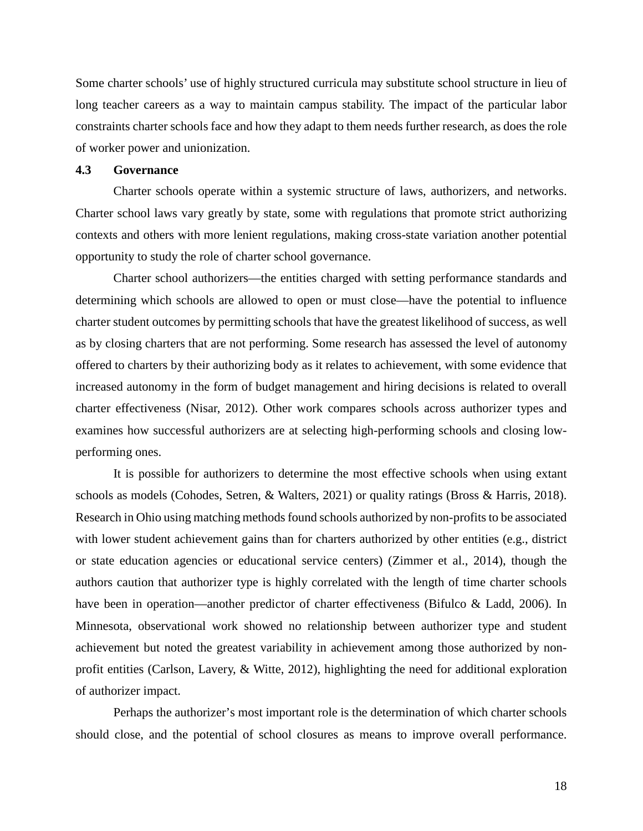Some charter schools' use of highly structured curricula may substitute school structure in lieu of long teacher careers as a way to maintain campus stability. The impact of the particular labor constraints charter schools face and how they adapt to them needs further research, as does the role of worker power and unionization.

#### **4.3 Governance**

Charter schools operate within a systemic structure of laws, authorizers, and networks. Charter school laws vary greatly by state, some with regulations that promote strict authorizing contexts and others with more lenient regulations, making cross-state variation another potential opportunity to study the role of charter school governance.

Charter school authorizers—the entities charged with setting performance standards and determining which schools are allowed to open or must close—have the potential to influence charter student outcomes by permitting schools that have the greatest likelihood of success, as well as by closing charters that are not performing. Some research has assessed the level of autonomy offered to charters by their authorizing body as it relates to achievement, with some evidence that increased autonomy in the form of budget management and hiring decisions is related to overall charter effectiveness (Nisar, 2012). Other work compares schools across authorizer types and examines how successful authorizers are at selecting high-performing schools and closing lowperforming ones.

It is possible for authorizers to determine the most effective schools when using extant schools as models (Cohodes, Setren, & Walters, 2021) or quality ratings (Bross & Harris, 2018). Research in Ohio using matching methods found schools authorized by non-profits to be associated with lower student achievement gains than for charters authorized by other entities (e.g., district or state education agencies or educational service centers) (Zimmer et al., 2014), though the authors caution that authorizer type is highly correlated with the length of time charter schools have been in operation—another predictor of charter effectiveness (Bifulco & Ladd, 2006). In Minnesota, observational work showed no relationship between authorizer type and student achievement but noted the greatest variability in achievement among those authorized by nonprofit entities (Carlson, Lavery, & Witte, 2012), highlighting the need for additional exploration of authorizer impact.

Perhaps the authorizer's most important role is the determination of which charter schools should close, and the potential of school closures as means to improve overall performance.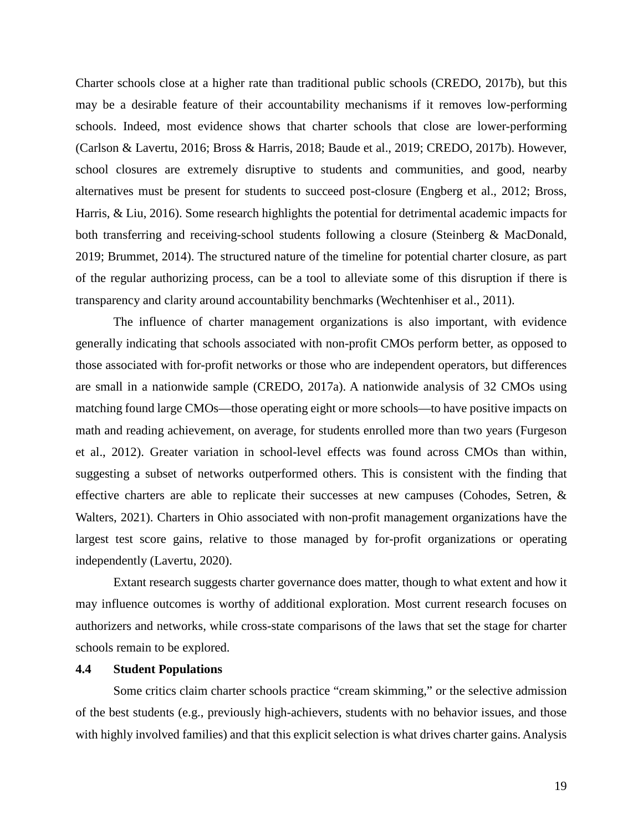Charter schools close at a higher rate than traditional public schools (CREDO, 2017b), but this may be a desirable feature of their accountability mechanisms if it removes low-performing schools. Indeed, most evidence shows that charter schools that close are lower-performing (Carlson & Lavertu, 2016; Bross & Harris, 2018; Baude et al., 2019; CREDO, 2017b). However, school closures are extremely disruptive to students and communities, and good, nearby alternatives must be present for students to succeed post-closure (Engberg et al., 2012; Bross, Harris, & Liu, 2016). Some research highlights the potential for detrimental academic impacts for both transferring and receiving-school students following a closure (Steinberg & MacDonald, 2019; Brummet, 2014). The structured nature of the timeline for potential charter closure, as part of the regular authorizing process, can be a tool to alleviate some of this disruption if there is transparency and clarity around accountability benchmarks (Wechtenhiser et al., 2011).

The influence of charter management organizations is also important, with evidence generally indicating that schools associated with non-profit CMOs perform better, as opposed to those associated with for-profit networks or those who are independent operators, but differences are small in a nationwide sample (CREDO, 2017a). A nationwide analysis of 32 CMOs using matching found large CMOs—those operating eight or more schools—to have positive impacts on math and reading achievement, on average, for students enrolled more than two years (Furgeson et al., 2012). Greater variation in school-level effects was found across CMOs than within, suggesting a subset of networks outperformed others. This is consistent with the finding that effective charters are able to replicate their successes at new campuses (Cohodes, Setren, & Walters, 2021). Charters in Ohio associated with non-profit management organizations have the largest test score gains, relative to those managed by for-profit organizations or operating independently (Lavertu, 2020).

Extant research suggests charter governance does matter, though to what extent and how it may influence outcomes is worthy of additional exploration. Most current research focuses on authorizers and networks, while cross-state comparisons of the laws that set the stage for charter schools remain to be explored.

# **4.4 Student Populations**

Some critics claim charter schools practice "cream skimming," or the selective admission of the best students (e.g., previously high-achievers, students with no behavior issues, and those with highly involved families) and that this explicit selection is what drives charter gains. Analysis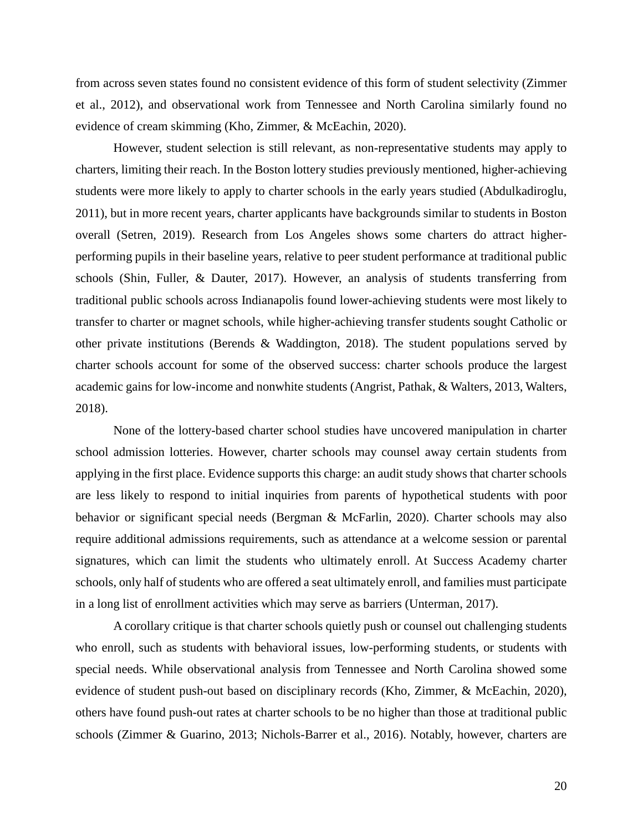from across seven states found no consistent evidence of this form of student selectivity (Zimmer et al., 2012), and observational work from Tennessee and North Carolina similarly found no evidence of cream skimming (Kho, Zimmer, & McEachin, 2020).

However, student selection is still relevant, as non-representative students may apply to charters, limiting their reach. In the Boston lottery studies previously mentioned, higher-achieving students were more likely to apply to charter schools in the early years studied (Abdulkadiroglu, 2011), but in more recent years, charter applicants have backgrounds similar to students in Boston overall (Setren, 2019). Research from Los Angeles shows some charters do attract higherperforming pupils in their baseline years, relative to peer student performance at traditional public schools (Shin, Fuller, & Dauter, 2017). However, an analysis of students transferring from traditional public schools across Indianapolis found lower-achieving students were most likely to transfer to charter or magnet schools, while higher-achieving transfer students sought Catholic or other private institutions (Berends & Waddington, 2018). The student populations served by charter schools account for some of the observed success: charter schools produce the largest academic gains for low-income and nonwhite students (Angrist, Pathak, & Walters, 2013, Walters, 2018).

None of the lottery-based charter school studies have uncovered manipulation in charter school admission lotteries. However, charter schools may counsel away certain students from applying in the first place. Evidence supports this charge: an audit study shows that charter schools are less likely to respond to initial inquiries from parents of hypothetical students with poor behavior or significant special needs (Bergman & McFarlin, 2020). Charter schools may also require additional admissions requirements, such as attendance at a welcome session or parental signatures, which can limit the students who ultimately enroll. At Success Academy charter schools, only half of students who are offered a seat ultimately enroll, and families must participate in a long list of enrollment activities which may serve as barriers (Unterman, 2017).

A corollary critique is that charter schools quietly push or counsel out challenging students who enroll, such as students with behavioral issues, low-performing students, or students with special needs. While observational analysis from Tennessee and North Carolina showed some evidence of student push-out based on disciplinary records (Kho, Zimmer, & McEachin, 2020), others have found push-out rates at charter schools to be no higher than those at traditional public schools (Zimmer & Guarino, 2013; Nichols-Barrer et al., 2016). Notably, however, charters are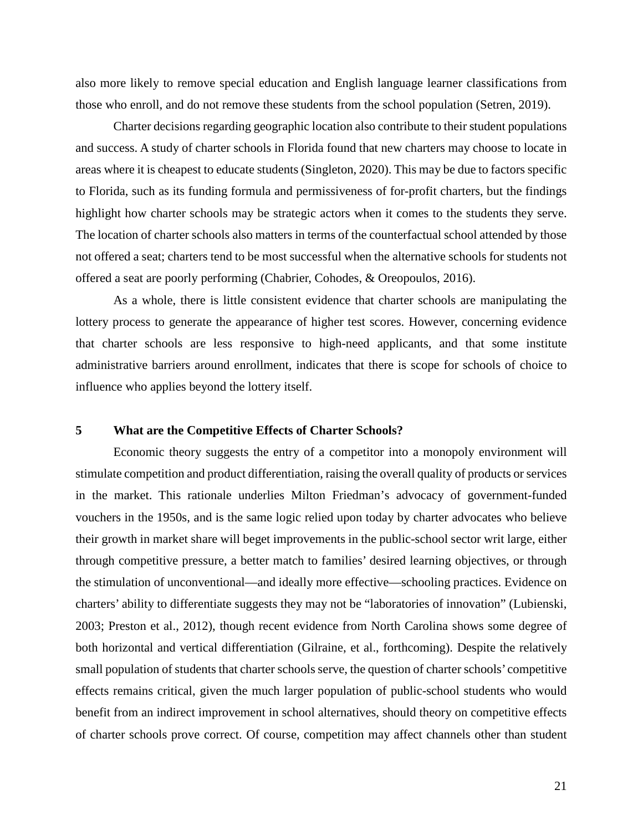also more likely to remove special education and English language learner classifications from those who enroll, and do not remove these students from the school population (Setren, 2019).

Charter decisions regarding geographic location also contribute to their student populations and success. A study of charter schools in Florida found that new charters may choose to locate in areas where it is cheapest to educate students (Singleton, 2020). This may be due to factors specific to Florida, such as its funding formula and permissiveness of for-profit charters, but the findings highlight how charter schools may be strategic actors when it comes to the students they serve. The location of charter schools also matters in terms of the counterfactual school attended by those not offered a seat; charters tend to be most successful when the alternative schools for students not offered a seat are poorly performing (Chabrier, Cohodes, & Oreopoulos, 2016).

As a whole, there is little consistent evidence that charter schools are manipulating the lottery process to generate the appearance of higher test scores. However, concerning evidence that charter schools are less responsive to high-need applicants, and that some institute administrative barriers around enrollment, indicates that there is scope for schools of choice to influence who applies beyond the lottery itself.

## **5 What are the Competitive Effects of Charter Schools?**

Economic theory suggests the entry of a competitor into a monopoly environment will stimulate competition and product differentiation, raising the overall quality of products or services in the market. This rationale underlies Milton Friedman's advocacy of government-funded vouchers in the 1950s, and is the same logic relied upon today by charter advocates who believe their growth in market share will beget improvements in the public-school sector writ large, either through competitive pressure, a better match to families' desired learning objectives, or through the stimulation of unconventional—and ideally more effective—schooling practices. Evidence on charters' ability to differentiate suggests they may not be "laboratories of innovation" (Lubienski, 2003; Preston et al., 2012), though recent evidence from North Carolina shows some degree of both horizontal and vertical differentiation (Gilraine, et al., forthcoming). Despite the relatively small population of students that charter schools serve, the question of charter schools' competitive effects remains critical, given the much larger population of public-school students who would benefit from an indirect improvement in school alternatives, should theory on competitive effects of charter schools prove correct. Of course, competition may affect channels other than student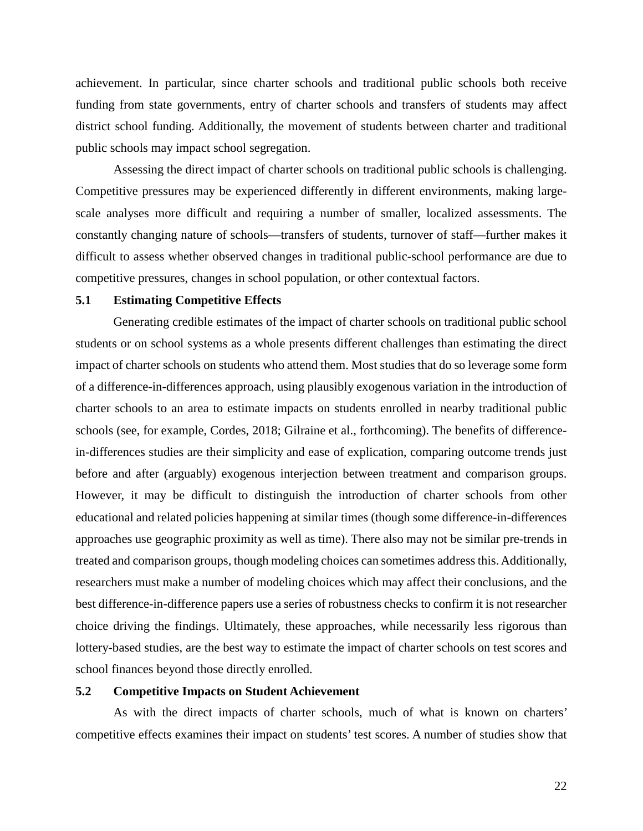achievement. In particular, since charter schools and traditional public schools both receive funding from state governments, entry of charter schools and transfers of students may affect district school funding. Additionally, the movement of students between charter and traditional public schools may impact school segregation.

Assessing the direct impact of charter schools on traditional public schools is challenging. Competitive pressures may be experienced differently in different environments, making largescale analyses more difficult and requiring a number of smaller, localized assessments. The constantly changing nature of schools—transfers of students, turnover of staff—further makes it difficult to assess whether observed changes in traditional public-school performance are due to competitive pressures, changes in school population, or other contextual factors.

# **5.1 Estimating Competitive Effects**

Generating credible estimates of the impact of charter schools on traditional public school students or on school systems as a whole presents different challenges than estimating the direct impact of charter schools on students who attend them. Most studies that do so leverage some form of a difference-in-differences approach, using plausibly exogenous variation in the introduction of charter schools to an area to estimate impacts on students enrolled in nearby traditional public schools (see, for example, Cordes, 2018; Gilraine et al., forthcoming). The benefits of differencein-differences studies are their simplicity and ease of explication, comparing outcome trends just before and after (arguably) exogenous interjection between treatment and comparison groups. However, it may be difficult to distinguish the introduction of charter schools from other educational and related policies happening at similar times (though some difference-in-differences approaches use geographic proximity as well as time). There also may not be similar pre-trends in treated and comparison groups, though modeling choices can sometimes address this. Additionally, researchers must make a number of modeling choices which may affect their conclusions, and the best difference-in-difference papers use a series of robustness checks to confirm it is not researcher choice driving the findings. Ultimately, these approaches, while necessarily less rigorous than lottery-based studies, are the best way to estimate the impact of charter schools on test scores and school finances beyond those directly enrolled.

#### **5.2 Competitive Impacts on Student Achievement**

As with the direct impacts of charter schools, much of what is known on charters' competitive effects examines their impact on students' test scores. A number of studies show that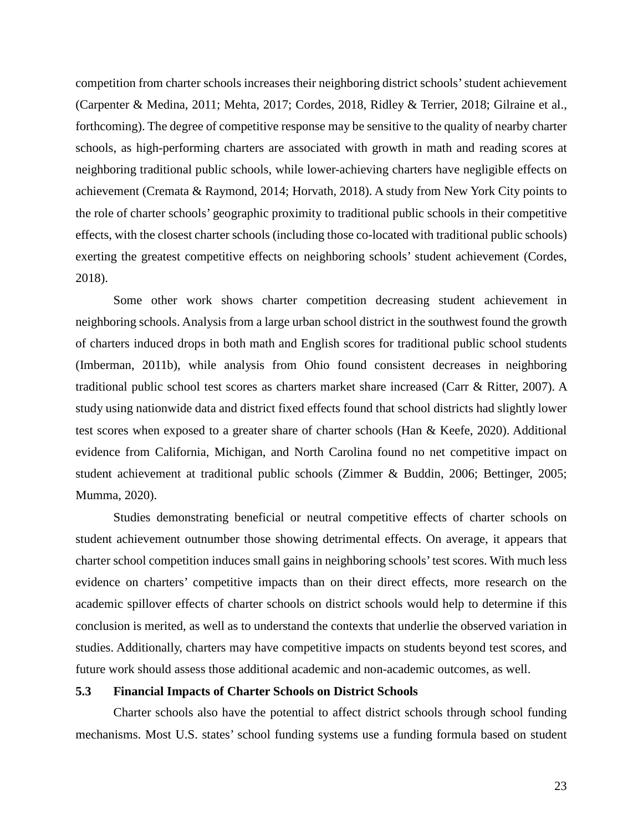competition from charter schools increases their neighboring district schools' student achievement (Carpenter & Medina, 2011; Mehta, 2017; Cordes, 2018, Ridley & Terrier, 2018; Gilraine et al., forthcoming). The degree of competitive response may be sensitive to the quality of nearby charter schools, as high-performing charters are associated with growth in math and reading scores at neighboring traditional public schools, while lower-achieving charters have negligible effects on achievement (Cremata & Raymond, 2014; Horvath, 2018). A study from New York City points to the role of charter schools' geographic proximity to traditional public schools in their competitive effects, with the closest charter schools (including those co-located with traditional public schools) exerting the greatest competitive effects on neighboring schools' student achievement (Cordes, 2018).

Some other work shows charter competition decreasing student achievement in neighboring schools. Analysis from a large urban school district in the southwest found the growth of charters induced drops in both math and English scores for traditional public school students (Imberman, 2011b), while analysis from Ohio found consistent decreases in neighboring traditional public school test scores as charters market share increased (Carr & Ritter, 2007). A study using nationwide data and district fixed effects found that school districts had slightly lower test scores when exposed to a greater share of charter schools (Han & Keefe, 2020). Additional evidence from California, Michigan, and North Carolina found no net competitive impact on student achievement at traditional public schools (Zimmer & Buddin, 2006; Bettinger, 2005; Mumma, 2020).

Studies demonstrating beneficial or neutral competitive effects of charter schools on student achievement outnumber those showing detrimental effects. On average, it appears that charter school competition induces small gains in neighboring schools' test scores. With much less evidence on charters' competitive impacts than on their direct effects, more research on the academic spillover effects of charter schools on district schools would help to determine if this conclusion is merited, as well as to understand the contexts that underlie the observed variation in studies. Additionally, charters may have competitive impacts on students beyond test scores, and future work should assess those additional academic and non-academic outcomes, as well.

#### **5.3 Financial Impacts of Charter Schools on District Schools**

Charter schools also have the potential to affect district schools through school funding mechanisms. Most U.S. states' school funding systems use a funding formula based on student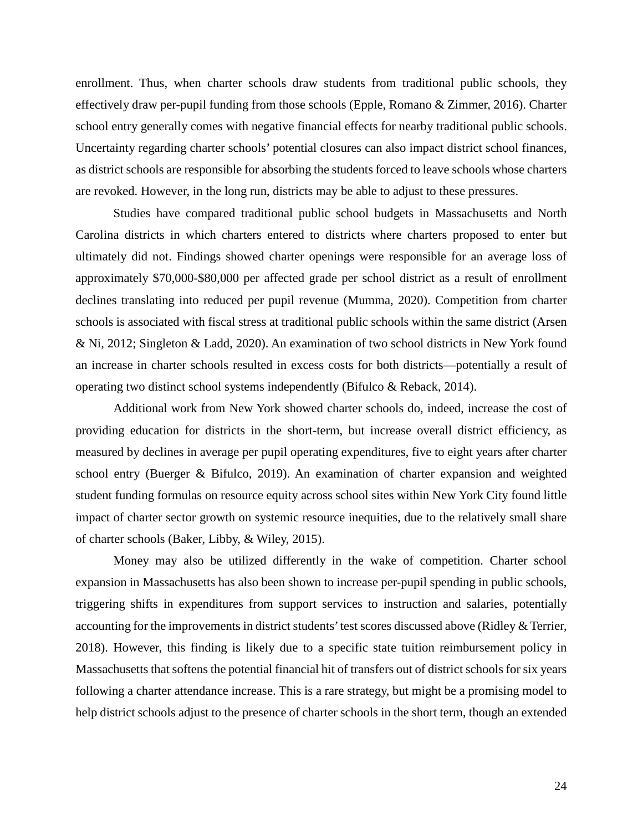enrollment. Thus, when charter schools draw students from traditional public schools, they effectively draw per-pupil funding from those schools (Epple, Romano & Zimmer, 2016). Charter school entry generally comes with negative financial effects for nearby traditional public schools. Uncertainty regarding charter schools' potential closures can also impact district school finances, as district schools are responsible for absorbing the students forced to leave schools whose charters are revoked. However, in the long run, districts may be able to adjust to these pressures.

Studies have compared traditional public school budgets in Massachusetts and North Carolina districts in which charters entered to districts where charters proposed to enter but ultimately did not. Findings showed charter openings were responsible for an average loss of approximately \$70,000-\$80,000 per affected grade per school district as a result of enrollment declines translating into reduced per pupil revenue (Mumma, 2020). Competition from charter schools is associated with fiscal stress at traditional public schools within the same district (Arsen & Ni, 2012; Singleton & Ladd, 2020). An examination of two school districts in New York found an increase in charter schools resulted in excess costs for both districts—potentially a result of operating two distinct school systems independently (Bifulco & Reback, 2014).

Additional work from New York showed charter schools do, indeed, increase the cost of providing education for districts in the short-term, but increase overall district efficiency, as measured by declines in average per pupil operating expenditures, five to eight years after charter school entry (Buerger & Bifulco, 2019). An examination of charter expansion and weighted student funding formulas on resource equity across school sites within New York City found little impact of charter sector growth on systemic resource inequities, due to the relatively small share of charter schools (Baker, Libby, & Wiley, 2015).

Money may also be utilized differently in the wake of competition. Charter school expansion in Massachusetts has also been shown to increase per-pupil spending in public schools, triggering shifts in expenditures from support services to instruction and salaries, potentially accounting for the improvements in district students' test scores discussed above (Ridley & Terrier, 2018). However, this finding is likely due to a specific state tuition reimbursement policy in Massachusetts that softens the potential financial hit of transfers out of district schools for six years following a charter attendance increase. This is a rare strategy, but might be a promising model to help district schools adjust to the presence of charter schools in the short term, though an extended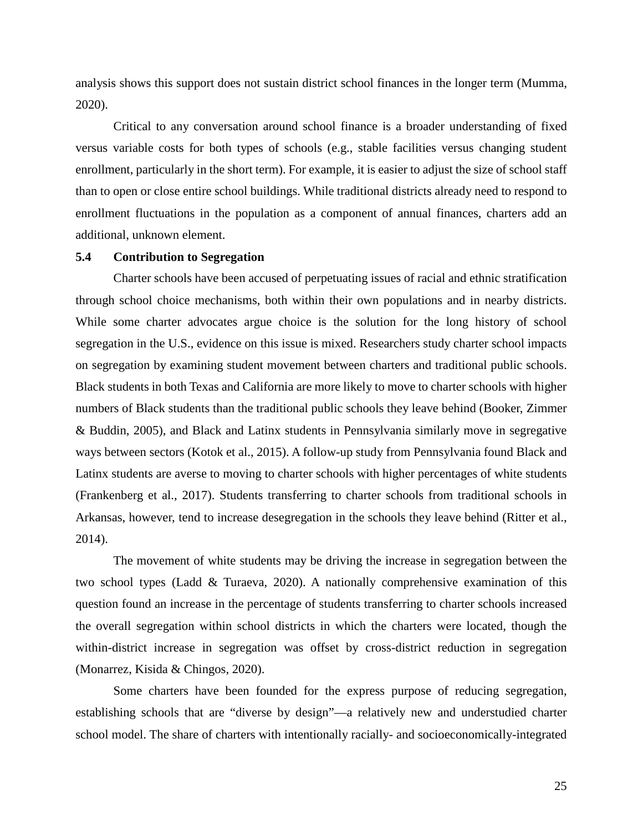analysis shows this support does not sustain district school finances in the longer term (Mumma, 2020).

Critical to any conversation around school finance is a broader understanding of fixed versus variable costs for both types of schools (e.g., stable facilities versus changing student enrollment, particularly in the short term). For example, it is easier to adjust the size of school staff than to open or close entire school buildings. While traditional districts already need to respond to enrollment fluctuations in the population as a component of annual finances, charters add an additional, unknown element.

# **5.4 Contribution to Segregation**

Charter schools have been accused of perpetuating issues of racial and ethnic stratification through school choice mechanisms, both within their own populations and in nearby districts. While some charter advocates argue choice is the solution for the long history of school segregation in the U.S., evidence on this issue is mixed. Researchers study charter school impacts on segregation by examining student movement between charters and traditional public schools. Black students in both Texas and California are more likely to move to charter schools with higher numbers of Black students than the traditional public schools they leave behind (Booker, Zimmer & Buddin, 2005), and Black and Latinx students in Pennsylvania similarly move in segregative ways between sectors (Kotok et al., 2015). A follow-up study from Pennsylvania found Black and Latinx students are averse to moving to charter schools with higher percentages of white students (Frankenberg et al., 2017). Students transferring to charter schools from traditional schools in Arkansas, however, tend to increase desegregation in the schools they leave behind (Ritter et al., 2014).

The movement of white students may be driving the increase in segregation between the two school types (Ladd & Turaeva, 2020). A nationally comprehensive examination of this question found an increase in the percentage of students transferring to charter schools increased the overall segregation within school districts in which the charters were located, though the within-district increase in segregation was offset by cross-district reduction in segregation (Monarrez, Kisida & Chingos, 2020).

Some charters have been founded for the express purpose of reducing segregation, establishing schools that are "diverse by design"—a relatively new and understudied charter school model. The share of charters with intentionally racially- and socioeconomically-integrated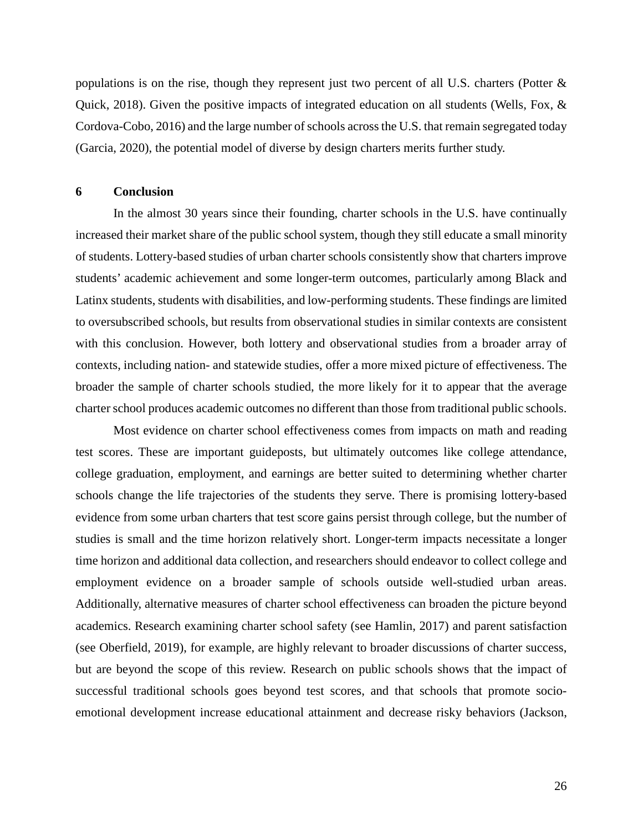populations is on the rise, though they represent just two percent of all U.S. charters (Potter & Quick, 2018). Given the positive impacts of integrated education on all students (Wells, Fox,  $\&$ Cordova-Cobo, 2016) and the large number of schools across the U.S. that remain segregated today (Garcia, 2020), the potential model of diverse by design charters merits further study.

#### **6 Conclusion**

In the almost 30 years since their founding, charter schools in the U.S. have continually increased their market share of the public school system, though they still educate a small minority of students. Lottery-based studies of urban charter schools consistently show that charters improve students' academic achievement and some longer-term outcomes, particularly among Black and Latinx students, students with disabilities, and low-performing students. These findings are limited to oversubscribed schools, but results from observational studies in similar contexts are consistent with this conclusion. However, both lottery and observational studies from a broader array of contexts, including nation- and statewide studies, offer a more mixed picture of effectiveness. The broader the sample of charter schools studied, the more likely for it to appear that the average charter school produces academic outcomes no different than those from traditional public schools.

Most evidence on charter school effectiveness comes from impacts on math and reading test scores. These are important guideposts, but ultimately outcomes like college attendance, college graduation, employment, and earnings are better suited to determining whether charter schools change the life trajectories of the students they serve. There is promising lottery-based evidence from some urban charters that test score gains persist through college, but the number of studies is small and the time horizon relatively short. Longer-term impacts necessitate a longer time horizon and additional data collection, and researchers should endeavor to collect college and employment evidence on a broader sample of schools outside well-studied urban areas. Additionally, alternative measures of charter school effectiveness can broaden the picture beyond academics. Research examining charter school safety (see Hamlin, 2017) and parent satisfaction (see Oberfield, 2019), for example, are highly relevant to broader discussions of charter success, but are beyond the scope of this review. Research on public schools shows that the impact of successful traditional schools goes beyond test scores, and that schools that promote socioemotional development increase educational attainment and decrease risky behaviors (Jackson,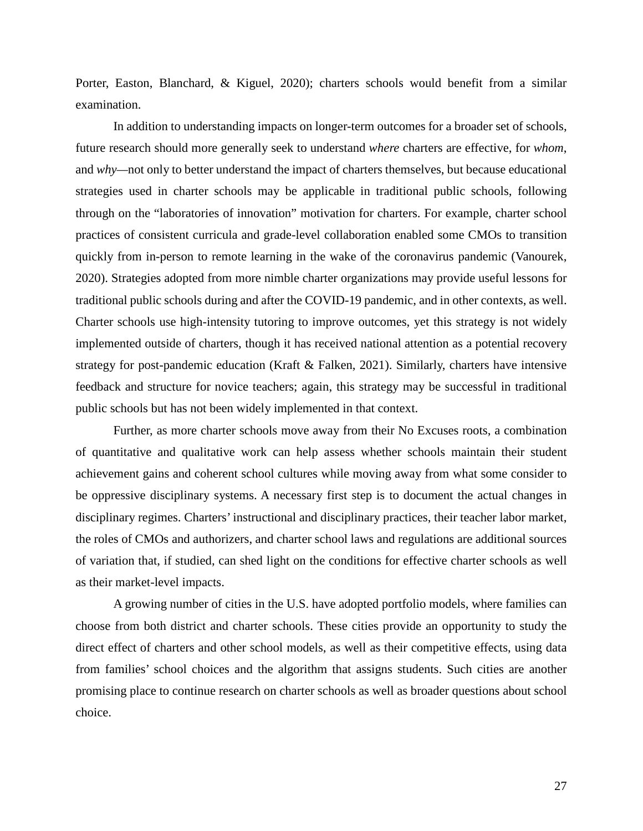Porter, Easton, Blanchard, & Kiguel, 2020); charters schools would benefit from a similar examination.

In addition to understanding impacts on longer-term outcomes for a broader set of schools, future research should more generally seek to understand *where* charters are effective, for *whom*, and *why—*not only to better understand the impact of charters themselves, but because educational strategies used in charter schools may be applicable in traditional public schools, following through on the "laboratories of innovation" motivation for charters. For example, charter school practices of consistent curricula and grade-level collaboration enabled some CMOs to transition quickly from in-person to remote learning in the wake of the coronavirus pandemic (Vanourek, 2020). Strategies adopted from more nimble charter organizations may provide useful lessons for traditional public schools during and after the COVID-19 pandemic, and in other contexts, as well. Charter schools use high-intensity tutoring to improve outcomes, yet this strategy is not widely implemented outside of charters, though it has received national attention as a potential recovery strategy for post-pandemic education (Kraft & Falken, 2021). Similarly, charters have intensive feedback and structure for novice teachers; again, this strategy may be successful in traditional public schools but has not been widely implemented in that context.

Further, as more charter schools move away from their No Excuses roots, a combination of quantitative and qualitative work can help assess whether schools maintain their student achievement gains and coherent school cultures while moving away from what some consider to be oppressive disciplinary systems. A necessary first step is to document the actual changes in disciplinary regimes. Charters' instructional and disciplinary practices, their teacher labor market, the roles of CMOs and authorizers, and charter school laws and regulations are additional sources of variation that, if studied, can shed light on the conditions for effective charter schools as well as their market-level impacts.

A growing number of cities in the U.S. have adopted portfolio models, where families can choose from both district and charter schools. These cities provide an opportunity to study the direct effect of charters and other school models, as well as their competitive effects, using data from families' school choices and the algorithm that assigns students. Such cities are another promising place to continue research on charter schools as well as broader questions about school choice.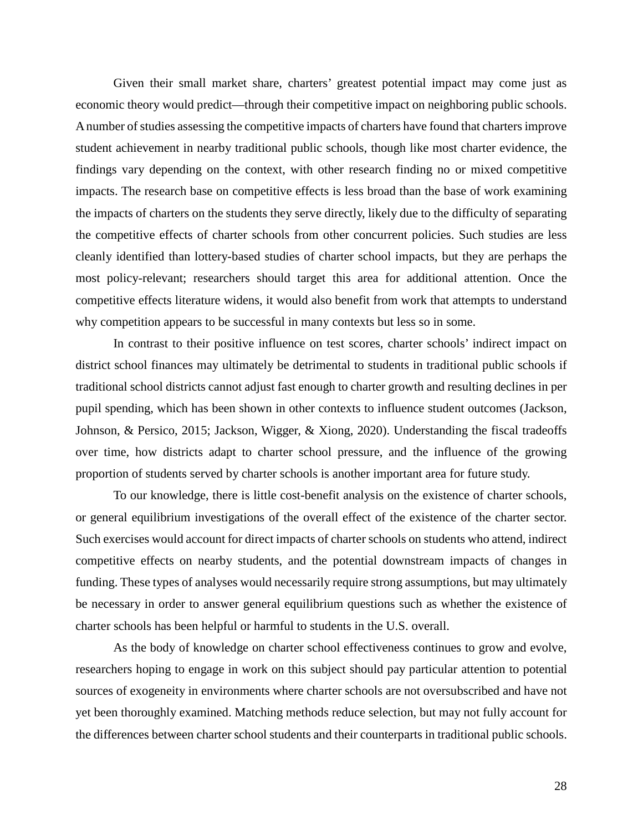Given their small market share, charters' greatest potential impact may come just as economic theory would predict—through their competitive impact on neighboring public schools. A number of studies assessing the competitive impacts of charters have found that charters improve student achievement in nearby traditional public schools, though like most charter evidence, the findings vary depending on the context, with other research finding no or mixed competitive impacts. The research base on competitive effects is less broad than the base of work examining the impacts of charters on the students they serve directly, likely due to the difficulty of separating the competitive effects of charter schools from other concurrent policies. Such studies are less cleanly identified than lottery-based studies of charter school impacts, but they are perhaps the most policy-relevant; researchers should target this area for additional attention. Once the competitive effects literature widens, it would also benefit from work that attempts to understand why competition appears to be successful in many contexts but less so in some.

In contrast to their positive influence on test scores, charter schools' indirect impact on district school finances may ultimately be detrimental to students in traditional public schools if traditional school districts cannot adjust fast enough to charter growth and resulting declines in per pupil spending, which has been shown in other contexts to influence student outcomes (Jackson, Johnson, & Persico, 2015; Jackson, Wigger, & Xiong, 2020). Understanding the fiscal tradeoffs over time, how districts adapt to charter school pressure, and the influence of the growing proportion of students served by charter schools is another important area for future study.

To our knowledge, there is little cost-benefit analysis on the existence of charter schools, or general equilibrium investigations of the overall effect of the existence of the charter sector. Such exercises would account for direct impacts of charter schools on students who attend, indirect competitive effects on nearby students, and the potential downstream impacts of changes in funding. These types of analyses would necessarily require strong assumptions, but may ultimately be necessary in order to answer general equilibrium questions such as whether the existence of charter schools has been helpful or harmful to students in the U.S. overall.

As the body of knowledge on charter school effectiveness continues to grow and evolve, researchers hoping to engage in work on this subject should pay particular attention to potential sources of exogeneity in environments where charter schools are not oversubscribed and have not yet been thoroughly examined. Matching methods reduce selection, but may not fully account for the differences between charter school students and their counterparts in traditional public schools.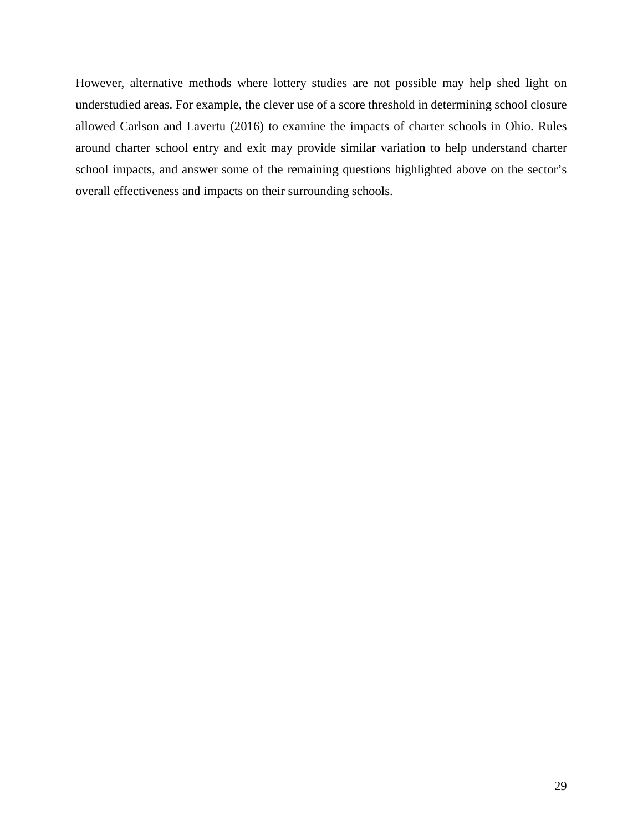However, alternative methods where lottery studies are not possible may help shed light on understudied areas. For example, the clever use of a score threshold in determining school closure allowed Carlson and Lavertu (2016) to examine the impacts of charter schools in Ohio. Rules around charter school entry and exit may provide similar variation to help understand charter school impacts, and answer some of the remaining questions highlighted above on the sector's overall effectiveness and impacts on their surrounding schools.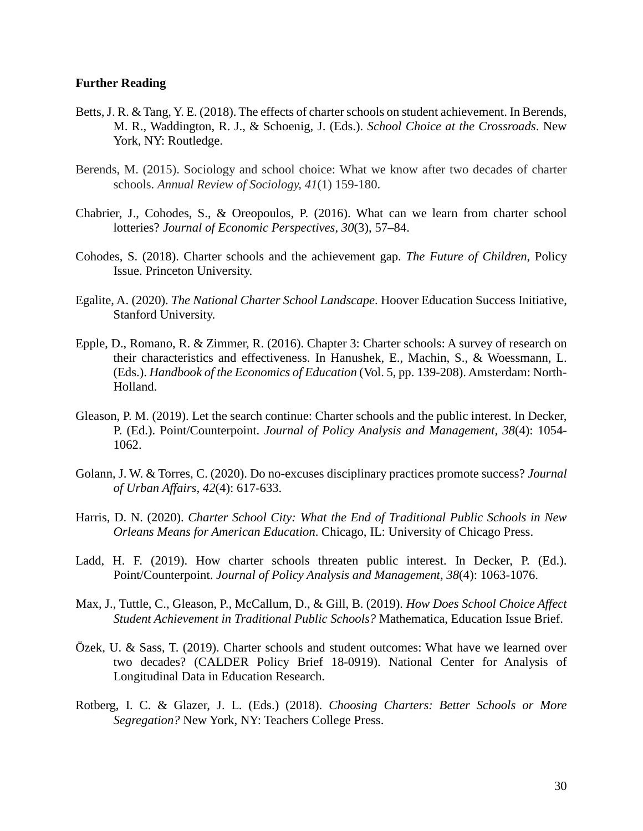#### **Further Reading**

- Betts, J. R. & Tang, Y. E. (2018). The effects of charter schools on student achievement. In Berends, M. R., Waddington, R. J., & Schoenig, J. (Eds.). *School Choice at the Crossroads*. New York, NY: Routledge.
- Berends, M. (2015). Sociology and school choice: What we know after two decades of charter schools. *Annual Review of Sociology, 41*(1) 159-180.
- Chabrier, J., Cohodes, S., & Oreopoulos, P. (2016). What can we learn from charter school lotteries? *Journal of Economic Perspectives*, *30*(3), 57–84.
- Cohodes, S. (2018). Charter schools and the achievement gap. *The Future of Children*, Policy Issue. Princeton University.
- Egalite, A. (2020). *The National Charter School Landscape*. Hoover Education Success Initiative, Stanford University.
- Epple, D., Romano, R. & Zimmer, R. (2016). Chapter 3: Charter schools: A survey of research on their characteristics and effectiveness. In Hanushek, E., Machin, S., & Woessmann, L. (Eds.). *Handbook of the Economics of Education* (Vol. 5, pp. 139-208). Amsterdam: North-Holland.
- Gleason, P. M. (2019). Let the search continue: Charter schools and the public interest. In Decker, P. (Ed.). Point/Counterpoint. *Journal of Policy Analysis and Management, 38*(4): 1054- 1062.
- Golann, J. W. & Torres, C. (2020). Do no-excuses disciplinary practices promote success? *Journal of Urban Affairs, 42*(4): 617-633.
- Harris, D. N. (2020). *Charter School City: What the End of Traditional Public Schools in New Orleans Means for American Education*. Chicago, IL: University of Chicago Press.
- Ladd, H. F. (2019). How charter schools threaten public interest. In Decker, P. (Ed.). Point/Counterpoint. *Journal of Policy Analysis and Management, 38*(4): 1063-1076.
- Max, J., Tuttle, C., Gleason, P., McCallum, D., & Gill, B. (2019). *How Does School Choice Affect Student Achievement in Traditional Public Schools?* Mathematica, Education Issue Brief.
- Özek, U. & Sass, T. (2019). Charter schools and student outcomes: What have we learned over two decades? (CALDER Policy Brief 18-0919). National Center for Analysis of Longitudinal Data in Education Research.
- Rotberg, I. C. & Glazer, J. L. (Eds.) (2018). *Choosing Charters: Better Schools or More Segregation?* New York, NY: Teachers College Press.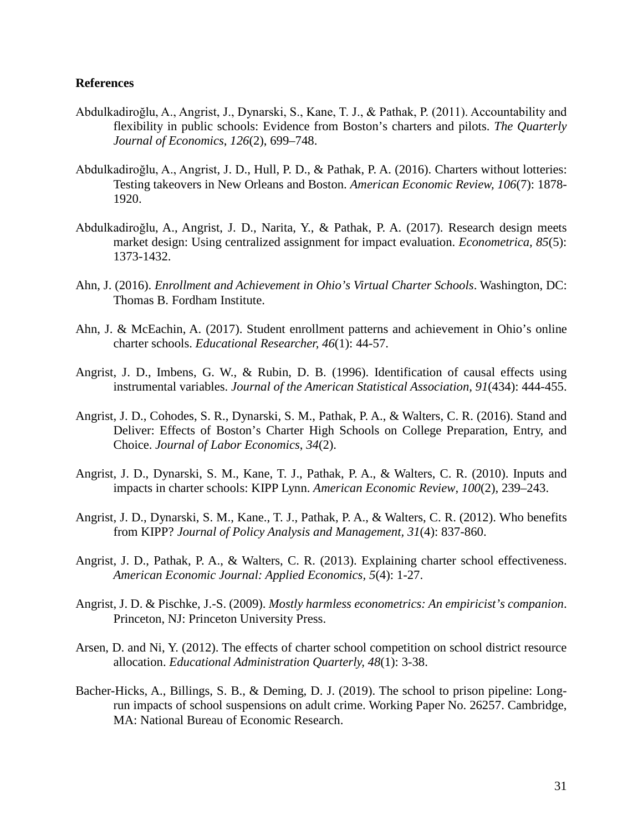#### **References**

- Abdulkadiroğlu, A., Angrist, J., Dynarski, S., Kane, T. J., & Pathak, P. (2011). Accountability and flexibility in public schools: Evidence from Boston's charters and pilots. *The Quarterly Journal of Economics*, *126*(2), 699–748.
- Abdulkadiroğlu, A., Angrist, J. D., Hull, P. D., & Pathak, P. A. (2016). Charters without lotteries: Testing takeovers in New Orleans and Boston. *American Economic Review, 106*(7): 1878- 1920.
- Abdulkadiroğlu, A., Angrist, J. D., Narita, Y., & Pathak, P. A. (2017). Research design meets market design: Using centralized assignment for impact evaluation. *Econometrica, 85*(5): 1373-1432.
- Ahn, J. (2016). *Enrollment and Achievement in Ohio's Virtual Charter Schools*. Washington, DC: Thomas B. Fordham Institute.
- Ahn, J. & McEachin, A. (2017). Student enrollment patterns and achievement in Ohio's online charter schools. *Educational Researcher, 46*(1): 44-57.
- Angrist, J. D., Imbens, G. W., & Rubin, D. B. (1996). Identification of causal effects using instrumental variables. *Journal of the American Statistical Association, 91*(434): 444-455.
- Angrist, J. D., Cohodes, S. R., Dynarski, S. M., Pathak, P. A., & Walters, C. R. (2016). Stand and Deliver: Effects of Boston's Charter High Schools on College Preparation, Entry, and Choice. *Journal of Labor Economics*, *34*(2).
- Angrist, J. D., Dynarski, S. M., Kane, T. J., Pathak, P. A., & Walters, C. R. (2010). Inputs and impacts in charter schools: KIPP Lynn. *American Economic Review*, *100*(2), 239–243.
- Angrist, J. D., Dynarski, S. M., Kane., T. J., Pathak, P. A., & Walters, C. R. (2012). Who benefits from KIPP? *Journal of Policy Analysis and Management, 31*(4): 837-860.
- Angrist, J. D., Pathak, P. A., & Walters, C. R. (2013). Explaining charter school effectiveness. *American Economic Journal: Applied Economics, 5*(4): 1-27.
- Angrist, J. D. & Pischke, J.-S. (2009). *Mostly harmless econometrics: An empiricist's companion*. Princeton, NJ: Princeton University Press.
- Arsen, D. and Ni, Y. (2012). The effects of charter school competition on school district resource allocation. *Educational Administration Quarterly, 48*(1): 3-38.
- Bacher-Hicks, A., Billings, S. B., & Deming, D. J. (2019). The school to prison pipeline: Longrun impacts of school suspensions on adult crime. Working Paper No. 26257. Cambridge, MA: National Bureau of Economic Research.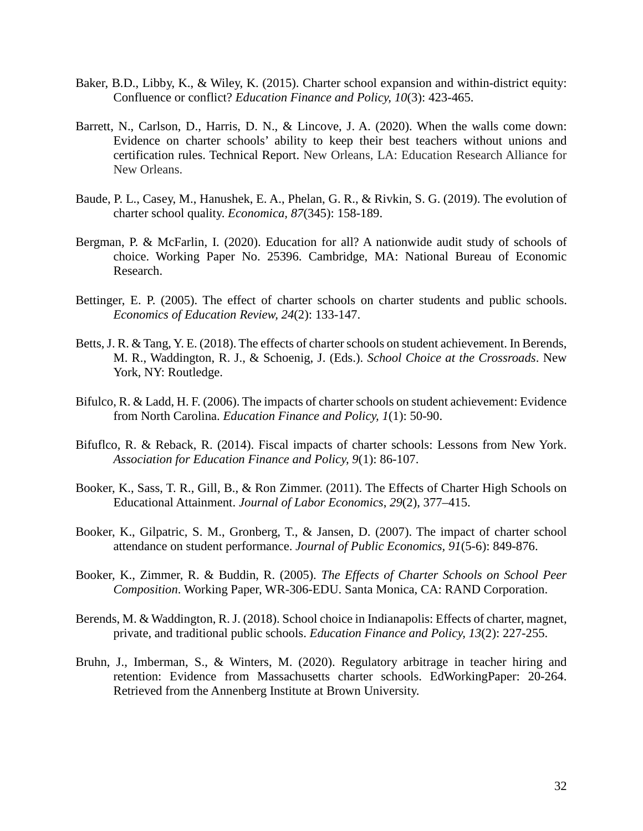- Baker, B.D., Libby, K., & Wiley, K. (2015). Charter school expansion and within-district equity: Confluence or conflict? *Education Finance and Policy, 10*(3): 423-465.
- Barrett, N., Carlson, D., Harris, D. N., & Lincove, J. A. (2020). When the walls come down: Evidence on charter schools' ability to keep their best teachers without unions and certification rules. Technical Report. New Orleans, LA: Education Research Alliance for New Orleans.
- Baude, P. L., Casey, M., Hanushek, E. A., Phelan, G. R., & Rivkin, S. G. (2019). The evolution of charter school quality. *Economica, 87*(345): 158-189.
- Bergman, P. & McFarlin, I. (2020). Education for all? A nationwide audit study of schools of choice. Working Paper No. 25396. Cambridge, MA: National Bureau of Economic Research.
- Bettinger, E. P. (2005). The effect of charter schools on charter students and public schools. *Economics of Education Review, 24*(2): 133-147.
- Betts, J. R. & Tang, Y. E. (2018). The effects of charter schools on student achievement. In Berends, M. R., Waddington, R. J., & Schoenig, J. (Eds.). *School Choice at the Crossroads*. New York, NY: Routledge.
- Bifulco, R. & Ladd, H. F. (2006). The impacts of charter schools on student achievement: Evidence from North Carolina. *Education Finance and Policy, 1*(1): 50-90.
- Bifuflco, R. & Reback, R. (2014). Fiscal impacts of charter schools: Lessons from New York. *Association for Education Finance and Policy, 9*(1): 86-107.
- Booker, K., Sass, T. R., Gill, B., & Ron Zimmer. (2011). The Effects of Charter High Schools on Educational Attainment. *Journal of Labor Economics*, *29*(2), 377–415.
- Booker, K., Gilpatric, S. M., Gronberg, T., & Jansen, D. (2007). The impact of charter school attendance on student performance. *Journal of Public Economics, 91*(5-6): 849-876.
- Booker, K., Zimmer, R. & Buddin, R. (2005). *The Effects of Charter Schools on School Peer Composition*. Working Paper, WR-306-EDU. Santa Monica, CA: RAND Corporation.
- Berends, M. & Waddington, R. J. (2018). School choice in Indianapolis: Effects of charter, magnet, private, and traditional public schools. *Education Finance and Policy, 13*(2): 227-255.
- Bruhn, J., Imberman, S., & Winters, M. (2020). Regulatory arbitrage in teacher hiring and retention: Evidence from Massachusetts charter schools. EdWorkingPaper: 20-264. Retrieved from the Annenberg Institute at Brown University.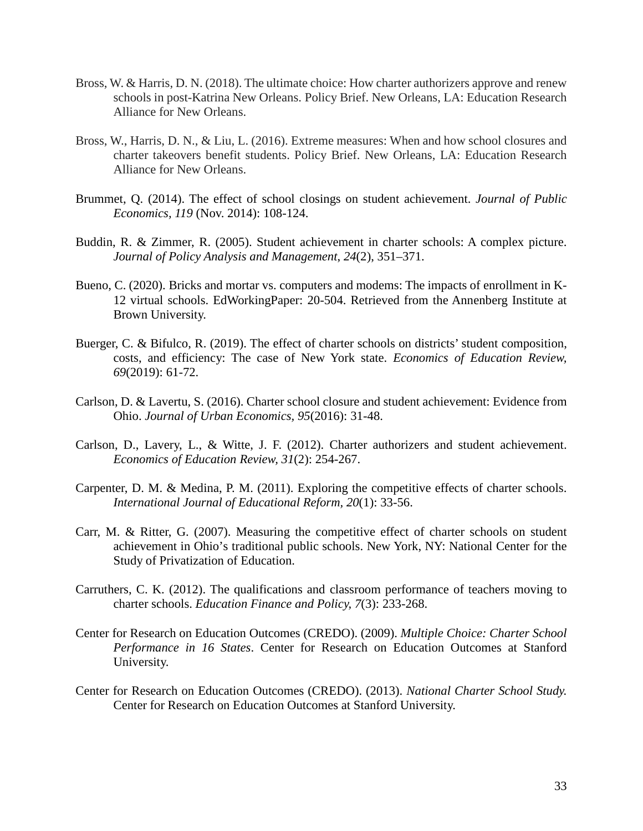- Bross, W. & Harris, D. N. (2018). The ultimate choice: How charter authorizers approve and renew schools in post-Katrina New Orleans. Policy Brief. New Orleans, LA: Education Research Alliance for New Orleans.
- Bross, W., Harris, D. N., & Liu, L. (2016). Extreme measures: When and how school closures and charter takeovers benefit students. Policy Brief. New Orleans, LA: Education Research Alliance for New Orleans.
- Brummet, Q. (2014). The effect of school closings on student achievement. *Journal of Public Economics, 119* (Nov. 2014): 108-124.
- Buddin, R. & Zimmer, R. (2005). Student achievement in charter schools: A complex picture. *Journal of Policy Analysis and Management*, *24*(2), 351–371.
- Bueno, C. (2020). Bricks and mortar vs. computers and modems: The impacts of enrollment in K-12 virtual schools. EdWorkingPaper: 20-504. Retrieved from the Annenberg Institute at Brown University.
- Buerger, C. & Bifulco, R. (2019). The effect of charter schools on districts' student composition, costs, and efficiency: The case of New York state. *Economics of Education Review, 69*(2019): 61-72.
- Carlson, D. & Lavertu, S. (2016). Charter school closure and student achievement: Evidence from Ohio. *Journal of Urban Economics, 95*(2016): 31-48.
- Carlson, D., Lavery, L., & Witte, J. F. (2012). Charter authorizers and student achievement. *Economics of Education Review, 31*(2): 254-267.
- Carpenter, D. M. & Medina, P. M. (2011). Exploring the competitive effects of charter schools. *International Journal of Educational Reform, 20*(1): 33-56.
- Carr, M. & Ritter, G. (2007). Measuring the competitive effect of charter schools on student achievement in Ohio's traditional public schools. New York, NY: National Center for the Study of Privatization of Education.
- Carruthers, C. K. (2012). The qualifications and classroom performance of teachers moving to charter schools. *Education Finance and Policy, 7*(3): 233-268.
- Center for Research on Education Outcomes (CREDO). (2009). *Multiple Choice: Charter School Performance in 16 States*. Center for Research on Education Outcomes at Stanford University.
- Center for Research on Education Outcomes (CREDO). (2013). *National Charter School Study.*  Center for Research on Education Outcomes at Stanford University.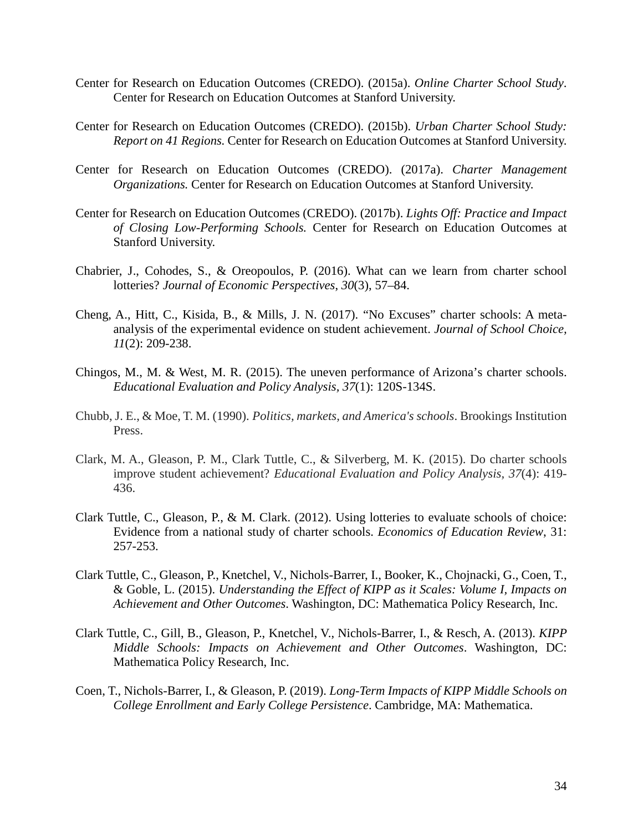- Center for Research on Education Outcomes (CREDO). (2015a). *Online Charter School Study*. Center for Research on Education Outcomes at Stanford University.
- Center for Research on Education Outcomes (CREDO). (2015b). *Urban Charter School Study: Report on 41 Regions.* Center for Research on Education Outcomes at Stanford University.
- Center for Research on Education Outcomes (CREDO). (2017a). *Charter Management Organizations.* Center for Research on Education Outcomes at Stanford University.
- Center for Research on Education Outcomes (CREDO). (2017b). *Lights Off: Practice and Impact of Closing Low-Performing Schools.* Center for Research on Education Outcomes at Stanford University.
- Chabrier, J., Cohodes, S., & Oreopoulos, P. (2016). What can we learn from charter school lotteries? *Journal of Economic Perspectives*, *30*(3), 57–84.
- Cheng, A., Hitt, C., Kisida, B., & Mills, J. N. (2017). "No Excuses" charter schools: A metaanalysis of the experimental evidence on student achievement. *Journal of School Choice, 11*(2): 209-238.
- Chingos, M., M. & West, M. R. (2015). The uneven performance of Arizona's charter schools. *Educational Evaluation and Policy Analysis, 37*(1): 120S-134S.
- Chubb, J. E., & Moe, T. M. (1990). *Politics, markets, and America's schools*. Brookings Institution Press.
- Clark, M. A., Gleason, P. M., Clark Tuttle, C., & Silverberg, M. K. (2015). Do charter schools improve student achievement? *Educational Evaluation and Policy Analysis, 37*(4): 419- 436.
- Clark Tuttle, C., Gleason, P., & M. Clark. (2012). Using lotteries to evaluate schools of choice: Evidence from a national study of charter schools. *Economics of Education Review*, 31: 257-253.
- Clark Tuttle, C., Gleason, P., Knetchel, V., Nichols-Barrer, I., Booker, K., Chojnacki, G., Coen, T., & Goble, L. (2015). *Understanding the Effect of KIPP as it Scales: Volume I, Impacts on Achievement and Other Outcomes*. Washington, DC: Mathematica Policy Research, Inc.
- Clark Tuttle, C., Gill, B., Gleason, P., Knetchel, V., Nichols-Barrer, I., & Resch, A. (2013). *KIPP Middle Schools: Impacts on Achievement and Other Outcomes*. Washington, DC: Mathematica Policy Research, Inc.
- Coen, T., Nichols-Barrer, I., & Gleason, P. (2019). *Long-Term Impacts of KIPP Middle Schools on College Enrollment and Early College Persistence*. Cambridge, MA: Mathematica.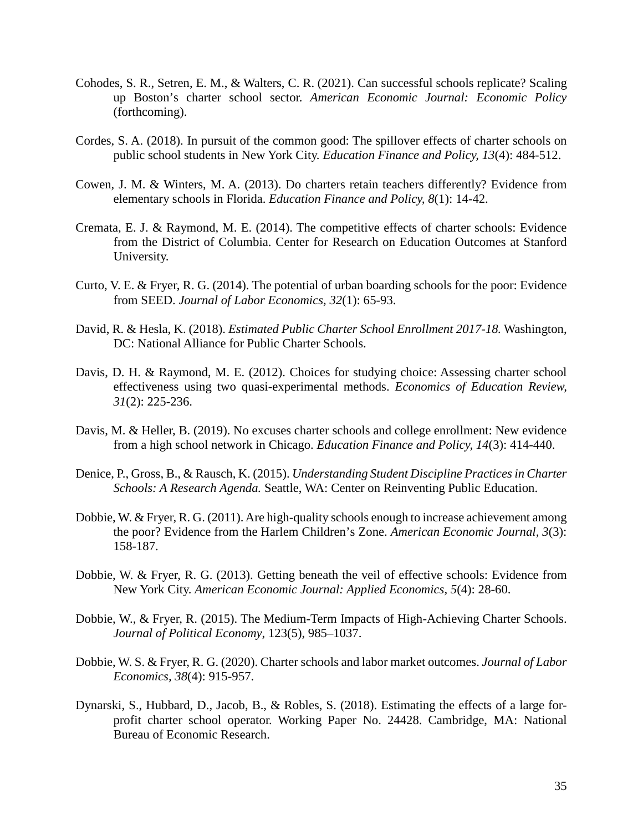- Cohodes, S. R., Setren, E. M., & Walters, C. R. (2021). Can successful schools replicate? Scaling up Boston's charter school sector. *American Economic Journal: Economic Policy*  (forthcoming).
- Cordes, S. A. (2018). In pursuit of the common good: The spillover effects of charter schools on public school students in New York City. *Education Finance and Policy, 13*(4): 484-512.
- Cowen, J. M. & Winters, M. A. (2013). Do charters retain teachers differently? Evidence from elementary schools in Florida. *Education Finance and Policy, 8*(1): 14-42.
- Cremata, E. J. & Raymond, M. E. (2014). The competitive effects of charter schools: Evidence from the District of Columbia. Center for Research on Education Outcomes at Stanford University.
- Curto, V. E. & Fryer, R. G. (2014). The potential of urban boarding schools for the poor: Evidence from SEED. *Journal of Labor Economics, 32*(1): 65-93.
- David, R. & Hesla, K. (2018). *Estimated Public Charter School Enrollment 2017-18.* Washington, DC: National Alliance for Public Charter Schools.
- Davis, D. H. & Raymond, M. E. (2012). Choices for studying choice: Assessing charter school effectiveness using two quasi-experimental methods. *Economics of Education Review, 31*(2): 225-236.
- Davis, M. & Heller, B. (2019). No excuses charter schools and college enrollment: New evidence from a high school network in Chicago. *Education Finance and Policy, 14*(3): 414-440.
- Denice, P., Gross, B., & Rausch, K. (2015). *Understanding Student Discipline Practices in Charter Schools: A Research Agenda.* Seattle, WA: Center on Reinventing Public Education.
- Dobbie, W. & Fryer, R. G. (2011). Are high-quality schools enough to increase achievement among the poor? Evidence from the Harlem Children's Zone. *American Economic Journal, 3*(3): 158-187.
- Dobbie, W. & Fryer, R. G. (2013). Getting beneath the veil of effective schools: Evidence from New York City. *American Economic Journal: Applied Economics, 5*(4): 28-60.
- Dobbie, W., & Fryer, R. (2015). The Medium-Term Impacts of High-Achieving Charter Schools. *Journal of Political Economy*, 123(5), 985–1037.
- Dobbie, W. S. & Fryer, R. G. (2020). Charter schools and labor market outcomes. *Journal of Labor Economics, 38*(4): 915-957.
- Dynarski, S., Hubbard, D., Jacob, B., & Robles, S. (2018). Estimating the effects of a large forprofit charter school operator. Working Paper No. 24428. Cambridge, MA: National Bureau of Economic Research.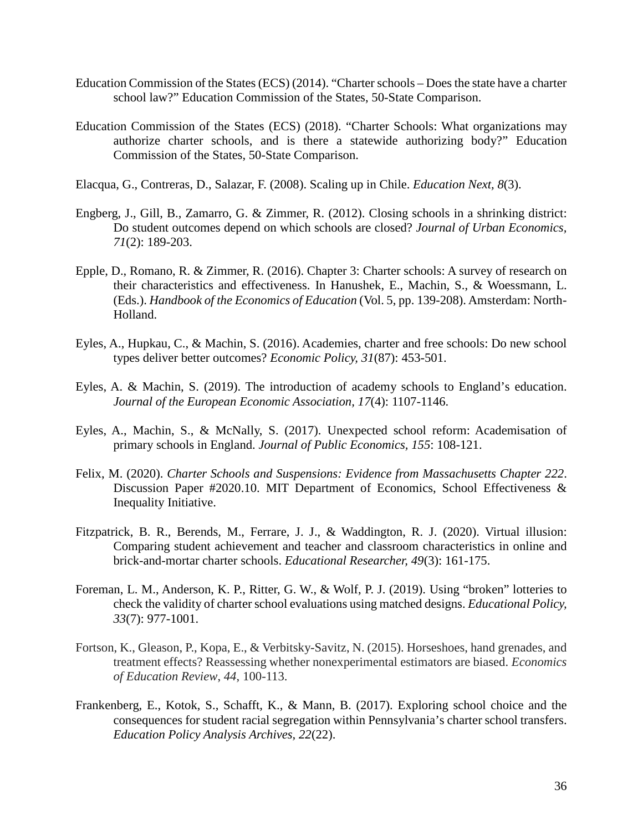- Education Commission of the States (ECS) (2014). "Charter schools Does the state have a charter school law?" Education Commission of the States, 50-State Comparison.
- Education Commission of the States (ECS) (2018). "Charter Schools: What organizations may authorize charter schools, and is there a statewide authorizing body?" Education Commission of the States, 50-State Comparison.
- Elacqua, G., Contreras, D., Salazar, F. (2008). Scaling up in Chile. *Education Next, 8*(3).
- Engberg, J., Gill, B., Zamarro, G. & Zimmer, R. (2012). Closing schools in a shrinking district: Do student outcomes depend on which schools are closed? *Journal of Urban Economics, 71*(2): 189-203.
- Epple, D., Romano, R. & Zimmer, R. (2016). Chapter 3: Charter schools: A survey of research on their characteristics and effectiveness. In Hanushek, E., Machin, S., & Woessmann, L. (Eds.). *Handbook of the Economics of Education* (Vol. 5, pp. 139-208). Amsterdam: North-Holland.
- Eyles, A., Hupkau, C., & Machin, S. (2016). Academies, charter and free schools: Do new school types deliver better outcomes? *Economic Policy, 31*(87): 453-501.
- Eyles, A. & Machin, S. (2019). The introduction of academy schools to England's education. *Journal of the European Economic Association, 17*(4): 1107-1146.
- Eyles, A., Machin, S., & McNally, S. (2017). Unexpected school reform: Academisation of primary schools in England. *Journal of Public Economics, 155*: 108-121.
- Felix, M. (2020). *Charter Schools and Suspensions: Evidence from Massachusetts Chapter 222*. Discussion Paper #2020.10. MIT Department of Economics, School Effectiveness & Inequality Initiative.
- Fitzpatrick, B. R., Berends, M., Ferrare, J. J., & Waddington, R. J. (2020). Virtual illusion: Comparing student achievement and teacher and classroom characteristics in online and brick-and-mortar charter schools. *Educational Researcher, 49*(3): 161-175.
- Foreman, L. M., Anderson, K. P., Ritter, G. W., & Wolf, P. J. (2019). Using "broken" lotteries to check the validity of charter school evaluations using matched designs. *Educational Policy, 33*(7): 977-1001.
- Fortson, K., Gleason, P., Kopa, E., & Verbitsky-Savitz, N. (2015). Horseshoes, hand grenades, and treatment effects? Reassessing whether nonexperimental estimators are biased. *Economics of Education Review*, *44*, 100-113.
- Frankenberg, E., Kotok, S., Schafft, K., & Mann, B. (2017). Exploring school choice and the consequences for student racial segregation within Pennsylvania's charter school transfers. *Education Policy Analysis Archives, 22*(22).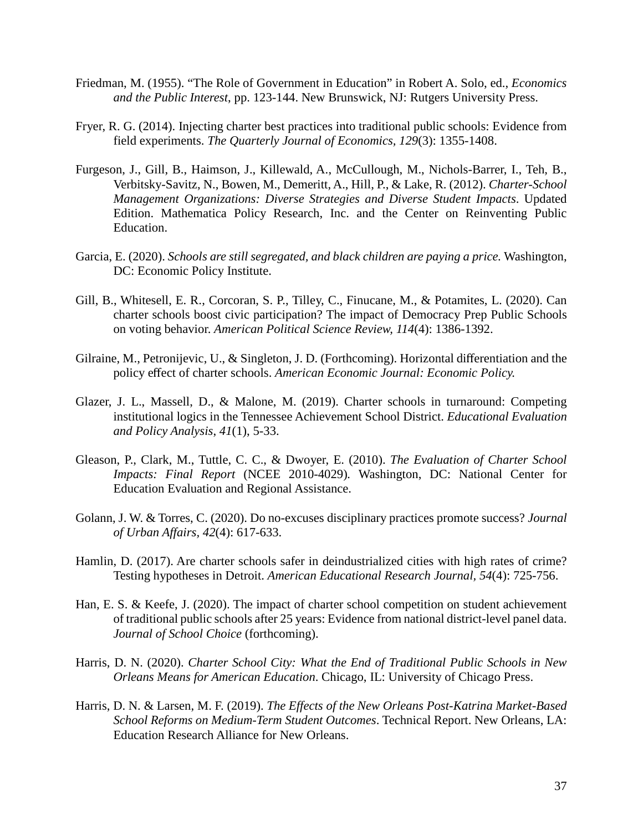- Friedman, M. (1955). "The Role of Government in Education" in Robert A. Solo, ed., *Economics and the Public Interest*, pp. 123-144. New Brunswick, NJ: Rutgers University Press.
- Fryer, R. G. (2014). Injecting charter best practices into traditional public schools: Evidence from field experiments. *The Quarterly Journal of Economics, 129*(3): 1355-1408.
- Furgeson, J., Gill, B., Haimson, J., Killewald, A., McCullough, M., Nichols-Barrer, I., Teh, B., Verbitsky-Savitz, N., Bowen, M., Demeritt, A., Hill, P., & Lake, R. (2012). *Charter-School Management Organizations: Diverse Strategies and Diverse Student Impacts*. Updated Edition. Mathematica Policy Research, Inc. and the Center on Reinventing Public Education.
- Garcia, E. (2020). *Schools are still segregated, and black children are paying a price.* Washington, DC: Economic Policy Institute.
- Gill, B., Whitesell, E. R., Corcoran, S. P., Tilley, C., Finucane, M., & Potamites, L. (2020). Can charter schools boost civic participation? The impact of Democracy Prep Public Schools on voting behavior. *American Political Science Review, 114*(4): 1386-1392.
- Gilraine, M., Petronijevic, U., & Singleton, J. D. (Forthcoming). Horizontal differentiation and the policy effect of charter schools. *American Economic Journal: Economic Policy.*
- Glazer, J. L., Massell, D., & Malone, M. (2019). Charter schools in turnaround: Competing institutional logics in the Tennessee Achievement School District. *Educational Evaluation and Policy Analysis*, *41*(1), 5-33.
- Gleason, P., Clark, M., Tuttle, C. C., & Dwoyer, E. (2010). *The Evaluation of Charter School Impacts: Final Report* (NCEE 2010-4029)*.* Washington, DC: National Center for Education Evaluation and Regional Assistance.
- Golann, J. W. & Torres, C. (2020). Do no-excuses disciplinary practices promote success? *Journal of Urban Affairs, 42*(4): 617-633.
- Hamlin, D. (2017). Are charter schools safer in deindustrialized cities with high rates of crime? Testing hypotheses in Detroit. *American Educational Research Journal, 54*(4): 725-756.
- Han, E. S. & Keefe, J. (2020). The impact of charter school competition on student achievement of traditional public schools after 25 years: Evidence from national district-level panel data. *Journal of School Choice* (forthcoming).
- Harris, D. N. (2020). *Charter School City: What the End of Traditional Public Schools in New Orleans Means for American Education*. Chicago, IL: University of Chicago Press.
- Harris, D. N. & Larsen, M. F. (2019). *The Effects of the New Orleans Post-Katrina Market-Based School Reforms on Medium-Term Student Outcomes*. Technical Report. New Orleans, LA: Education Research Alliance for New Orleans.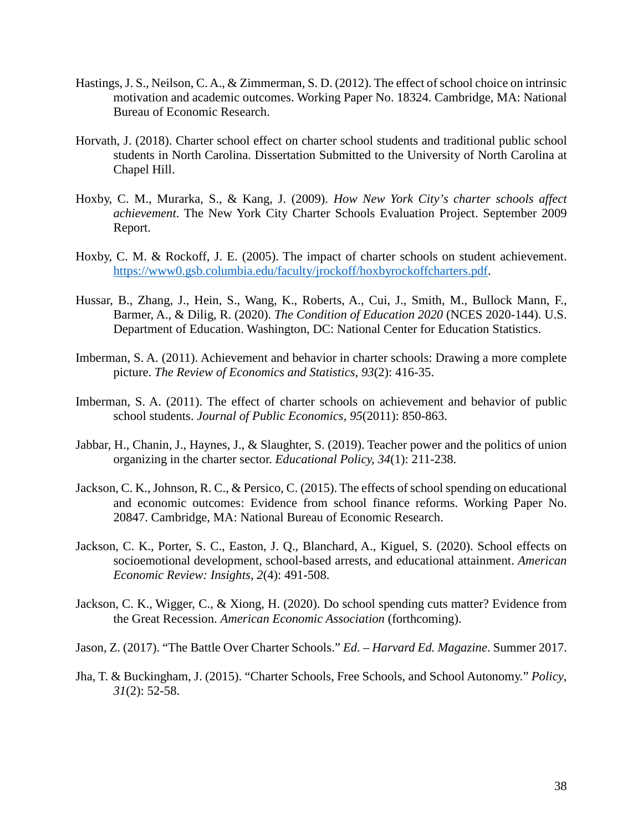- Hastings, J. S., Neilson, C. A., & Zimmerman, S. D. (2012). The effect of school choice on intrinsic motivation and academic outcomes. Working Paper No. 18324. Cambridge, MA: National Bureau of Economic Research.
- Horvath, J. (2018). Charter school effect on charter school students and traditional public school students in North Carolina. Dissertation Submitted to the University of North Carolina at Chapel Hill.
- Hoxby, C. M., Murarka, S., & Kang, J. (2009). *How New York City's charter schools affect achievement*. The New York City Charter Schools Evaluation Project. September 2009 Report.
- Hoxby, C. M. & Rockoff, J. E. (2005). The impact of charter schools on student achievement. [https://www0.gsb.columbia.edu/faculty/jrockoff/hoxbyrockoffcharters.pdf.](https://www0.gsb.columbia.edu/faculty/jrockoff/hoxbyrockoffcharters.pdf)
- Hussar, B., Zhang, J., Hein, S., Wang, K., Roberts, A., Cui, J., Smith, M., Bullock Mann, F., Barmer, A., & Dilig, R. (2020). *The Condition of Education 2020* (NCES 2020-144). U.S. Department of Education. Washington, DC: National Center for Education Statistics.
- Imberman, S. A. (2011). Achievement and behavior in charter schools: Drawing a more complete picture. *The Review of Economics and Statistics, 93*(2): 416-35.
- Imberman, S. A. (2011). The effect of charter schools on achievement and behavior of public school students. *Journal of Public Economics, 95*(2011): 850-863.
- Jabbar, H., Chanin, J., Haynes, J., & Slaughter, S. (2019). Teacher power and the politics of union organizing in the charter sector. *Educational Policy, 34*(1): 211-238.
- Jackson, C. K., Johnson, R. C., & Persico, C. (2015). The effects of school spending on educational and economic outcomes: Evidence from school finance reforms. Working Paper No. 20847. Cambridge, MA: National Bureau of Economic Research.
- Jackson, C. K., Porter, S. C., Easton, J. Q., Blanchard, A., Kiguel, S. (2020). School effects on socioemotional development, school-based arrests, and educational attainment. *American Economic Review: Insights, 2*(4): 491-508.
- Jackson, C. K., Wigger, C., & Xiong, H. (2020). Do school spending cuts matter? Evidence from the Great Recession. *American Economic Association* (forthcoming).

Jason, Z. (2017). "The Battle Over Charter Schools." *Ed. – Harvard Ed. Magazine*. Summer 2017.

Jha, T. & Buckingham, J. (2015). "Charter Schools, Free Schools, and School Autonomy." *Policy*, *31*(2): 52-58.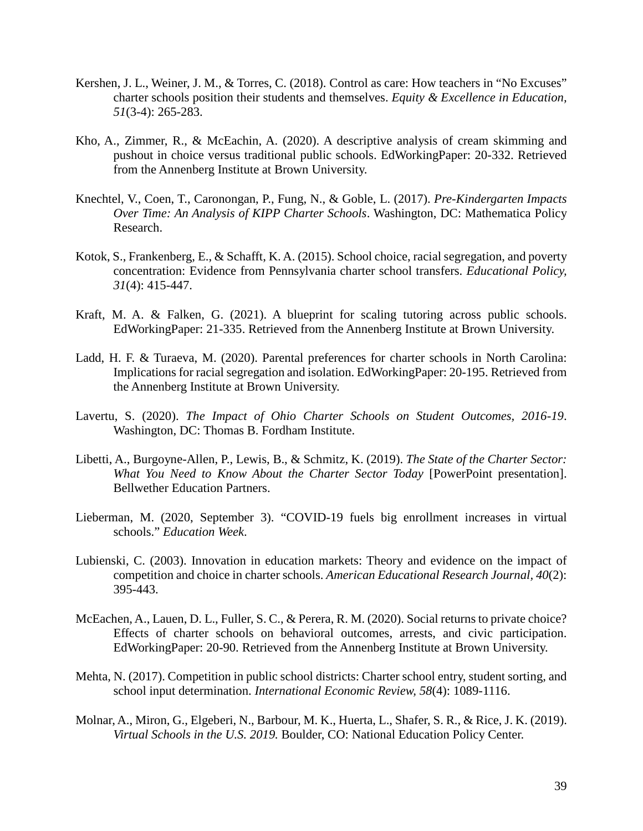- Kershen, J. L., Weiner, J. M., & Torres, C. (2018). Control as care: How teachers in "No Excuses" charter schools position their students and themselves. *Equity & Excellence in Education, 51*(3-4): 265-283.
- Kho, A., Zimmer, R., & McEachin, A. (2020). A descriptive analysis of cream skimming and pushout in choice versus traditional public schools. EdWorkingPaper: 20-332. Retrieved from the Annenberg Institute at Brown University.
- Knechtel, V., Coen, T., Caronongan, P., Fung, N., & Goble, L. (2017). *Pre-Kindergarten Impacts Over Time: An Analysis of KIPP Charter Schools*. Washington, DC: Mathematica Policy Research.
- Kotok, S., Frankenberg, E., & Schafft, K. A. (2015). School choice, racial segregation, and poverty concentration: Evidence from Pennsylvania charter school transfers. *Educational Policy, 31*(4): 415-447.
- Kraft, M. A. & Falken, G. (2021). A blueprint for scaling tutoring across public schools. EdWorkingPaper: 21-335. Retrieved from the Annenberg Institute at Brown University.
- Ladd, H. F. & Turaeva, M. (2020). Parental preferences for charter schools in North Carolina: Implications for racial segregation and isolation. EdWorkingPaper: 20-195. Retrieved from the Annenberg Institute at Brown University.
- Lavertu, S. (2020). *The Impact of Ohio Charter Schools on Student Outcomes, 2016-19*. Washington, DC: Thomas B. Fordham Institute.
- Libetti, A., Burgoyne-Allen, P., Lewis, B., & Schmitz, K. (2019). *The State of the Charter Sector: What You Need to Know About the Charter Sector Today* [PowerPoint presentation]. Bellwether Education Partners.
- Lieberman, M. (2020, September 3). "COVID-19 fuels big enrollment increases in virtual schools." *Education Week*.
- Lubienski, C. (2003). Innovation in education markets: Theory and evidence on the impact of competition and choice in charter schools. *American Educational Research Journal, 40*(2): 395-443.
- McEachen, A., Lauen, D. L., Fuller, S. C., & Perera, R. M. (2020). Social returns to private choice? Effects of charter schools on behavioral outcomes, arrests, and civic participation. EdWorkingPaper: 20-90. Retrieved from the Annenberg Institute at Brown University.
- Mehta, N. (2017). Competition in public school districts: Charter school entry, student sorting, and school input determination. *International Economic Review, 58*(4): 1089-1116.
- Molnar, A., Miron, G., Elgeberi, N., Barbour, M. K., Huerta, L., Shafer, S. R., & Rice, J. K. (2019). *Virtual Schools in the U.S. 2019.* Boulder, CO: National Education Policy Center.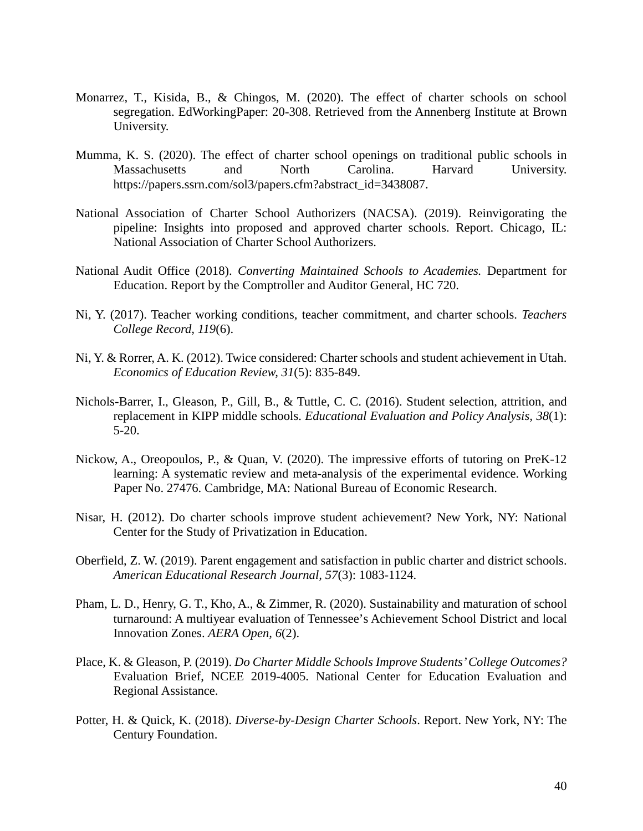- Monarrez, T., Kisida, B., & Chingos, M. (2020). The effect of charter schools on school segregation. EdWorkingPaper: 20-308. Retrieved from the Annenberg Institute at Brown University.
- Mumma, K. S. (2020). The effect of charter school openings on traditional public schools in Massachusetts and North Carolina. Harvard University. https://papers.ssrn.com/sol3/papers.cfm?abstract\_id=3438087.
- National Association of Charter School Authorizers (NACSA). (2019). Reinvigorating the pipeline: Insights into proposed and approved charter schools. Report. Chicago, IL: National Association of Charter School Authorizers.
- National Audit Office (2018). *Converting Maintained Schools to Academies.* Department for Education. Report by the Comptroller and Auditor General, HC 720.
- Ni, Y. (2017). Teacher working conditions, teacher commitment, and charter schools. *Teachers College Record, 119*(6).
- Ni, Y. & Rorrer, A. K. (2012). Twice considered: Charter schools and student achievement in Utah. *Economics of Education Review, 31*(5): 835-849.
- Nichols-Barrer, I., Gleason, P., Gill, B., & Tuttle, C. C. (2016). Student selection, attrition, and replacement in KIPP middle schools. *Educational Evaluation and Policy Analysis, 38*(1): 5-20.
- Nickow, A., Oreopoulos, P., & Quan, V. (2020). The impressive efforts of tutoring on PreK-12 learning: A systematic review and meta-analysis of the experimental evidence. Working Paper No. 27476. Cambridge, MA: National Bureau of Economic Research.
- Nisar, H. (2012). Do charter schools improve student achievement? New York, NY: National Center for the Study of Privatization in Education.
- Oberfield, Z. W. (2019). Parent engagement and satisfaction in public charter and district schools. *American Educational Research Journal, 57*(3): 1083-1124.
- Pham, L. D., Henry, G. T., Kho, A., & Zimmer, R. (2020). Sustainability and maturation of school turnaround: A multiyear evaluation of Tennessee's Achievement School District and local Innovation Zones. *AERA Open, 6*(2).
- Place, K. & Gleason, P. (2019). *Do Charter Middle Schools Improve Students' College Outcomes?* Evaluation Brief, NCEE 2019-4005. National Center for Education Evaluation and Regional Assistance.
- Potter, H. & Quick, K. (2018). *Diverse-by-Design Charter Schools*. Report. New York, NY: The Century Foundation.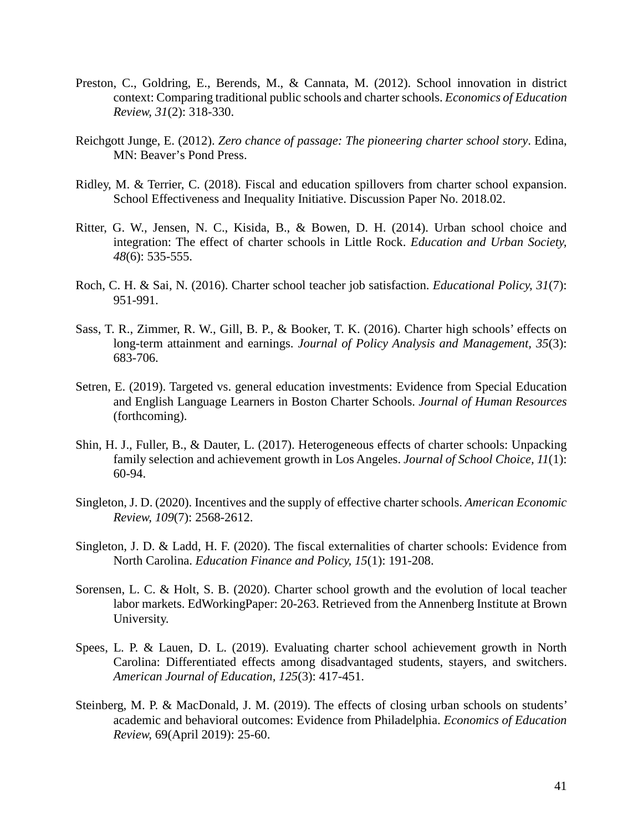- Preston, C., Goldring, E., Berends, M., & Cannata, M. (2012). School innovation in district context: Comparing traditional public schools and charter schools. *Economics of Education Review, 31*(2): 318-330.
- Reichgott Junge, E. (2012). *Zero chance of passage: The pioneering charter school story*. Edina, MN: Beaver's Pond Press.
- Ridley, M. & Terrier, C. (2018). Fiscal and education spillovers from charter school expansion. School Effectiveness and Inequality Initiative. Discussion Paper No. 2018.02.
- Ritter, G. W., Jensen, N. C., Kisida, B., & Bowen, D. H. (2014). Urban school choice and integration: The effect of charter schools in Little Rock. *Education and Urban Society, 48*(6): 535-555.
- Roch, C. H. & Sai, N. (2016). Charter school teacher job satisfaction. *Educational Policy, 31*(7): 951-991.
- Sass, T. R., Zimmer, R. W., Gill, B. P., & Booker, T. K. (2016). Charter high schools' effects on long-term attainment and earnings. *Journal of Policy Analysis and Management, 35*(3): 683-706.
- Setren, E. (2019). Targeted vs. general education investments: Evidence from Special Education and English Language Learners in Boston Charter Schools. *Journal of Human Resources* (forthcoming).
- Shin, H. J., Fuller, B., & Dauter, L. (2017). Heterogeneous effects of charter schools: Unpacking family selection and achievement growth in Los Angeles. *Journal of School Choice, 11*(1): 60-94.
- Singleton, J. D. (2020). Incentives and the supply of effective charter schools. *American Economic Review, 109*(7): 2568-2612.
- Singleton, J. D. & Ladd, H. F. (2020). The fiscal externalities of charter schools: Evidence from North Carolina. *Education Finance and Policy, 15*(1): 191-208.
- Sorensen, L. C. & Holt, S. B. (2020). Charter school growth and the evolution of local teacher labor markets. EdWorkingPaper: 20-263. Retrieved from the Annenberg Institute at Brown University.
- Spees, L. P. & Lauen, D. L. (2019). Evaluating charter school achievement growth in North Carolina: Differentiated effects among disadvantaged students, stayers, and switchers. *American Journal of Education, 125*(3): 417-451.
- Steinberg, M. P. & MacDonald, J. M. (2019). The effects of closing urban schools on students' academic and behavioral outcomes: Evidence from Philadelphia. *Economics of Education Review,* 69(April 2019): 25-60.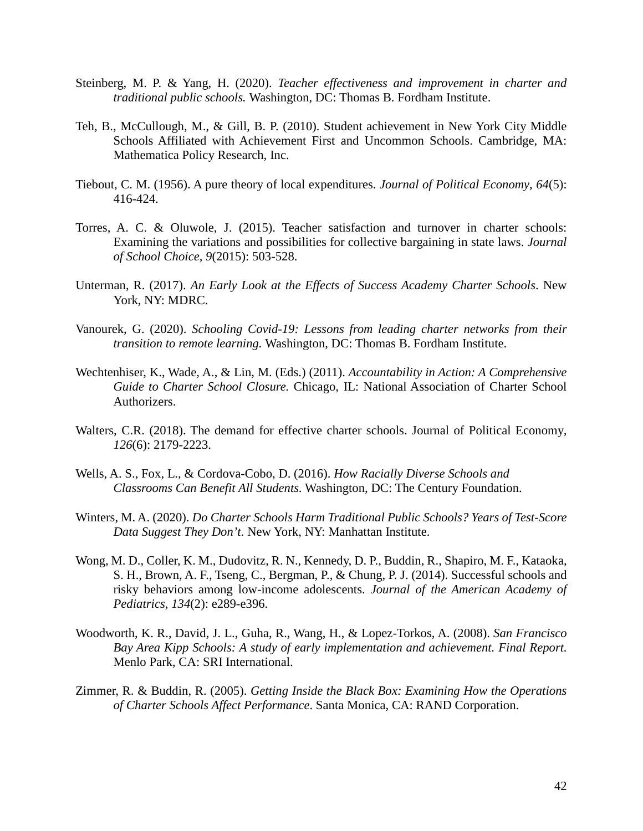- Steinberg, M. P. & Yang, H. (2020). *Teacher effectiveness and improvement in charter and traditional public schools.* Washington, DC: Thomas B. Fordham Institute.
- Teh, B., McCullough, M., & Gill, B. P. (2010). Student achievement in New York City Middle Schools Affiliated with Achievement First and Uncommon Schools. Cambridge, MA: Mathematica Policy Research, Inc.
- Tiebout, C. M. (1956). A pure theory of local expenditures. *Journal of Political Economy*, *64*(5): 416-424.
- Torres, A. C. & Oluwole, J. (2015). Teacher satisfaction and turnover in charter schools: Examining the variations and possibilities for collective bargaining in state laws. *Journal of School Choice, 9*(2015): 503-528.
- Unterman, R. (2017). *An Early Look at the Effects of Success Academy Charter Schools*. New York, NY: MDRC.
- Vanourek, G. (2020). *Schooling Covid-19: Lessons from leading charter networks from their transition to remote learning.* Washington, DC: Thomas B. Fordham Institute.
- Wechtenhiser, K., Wade, A., & Lin, M. (Eds.) (2011). *Accountability in Action: A Comprehensive Guide to Charter School Closure.* Chicago, IL: National Association of Charter School Authorizers.
- Walters, C.R. (2018). The demand for effective charter schools. Journal of Political Economy*, 126*(6): 2179-2223.
- Wells, A. S., Fox, L., & Cordova-Cobo, D. (2016). *How Racially Diverse Schools and Classrooms Can Benefit All Students.* Washington, DC: The Century Foundation.
- Winters, M. A. (2020). *Do Charter Schools Harm Traditional Public Schools? Years of Test-Score Data Suggest They Don't.* New York, NY: Manhattan Institute.
- Wong, M. D., Coller, K. M., Dudovitz, R. N., Kennedy, D. P., Buddin, R., Shapiro, M. F., Kataoka, S. H., Brown, A. F., Tseng, C., Bergman, P., & Chung, P. J. (2014). Successful schools and risky behaviors among low-income adolescents. *Journal of the American Academy of Pediatrics, 134*(2): e289-e396.
- Woodworth, K. R., David, J. L., Guha, R., Wang, H., & Lopez-Torkos, A. (2008). *San Francisco Bay Area Kipp Schools: A study of early implementation and achievement. Final Report.* Menlo Park, CA: SRI International.
- Zimmer, R. & Buddin, R. (2005). *Getting Inside the Black Box: Examining How the Operations of Charter Schools Affect Performance*. Santa Monica, CA: RAND Corporation.